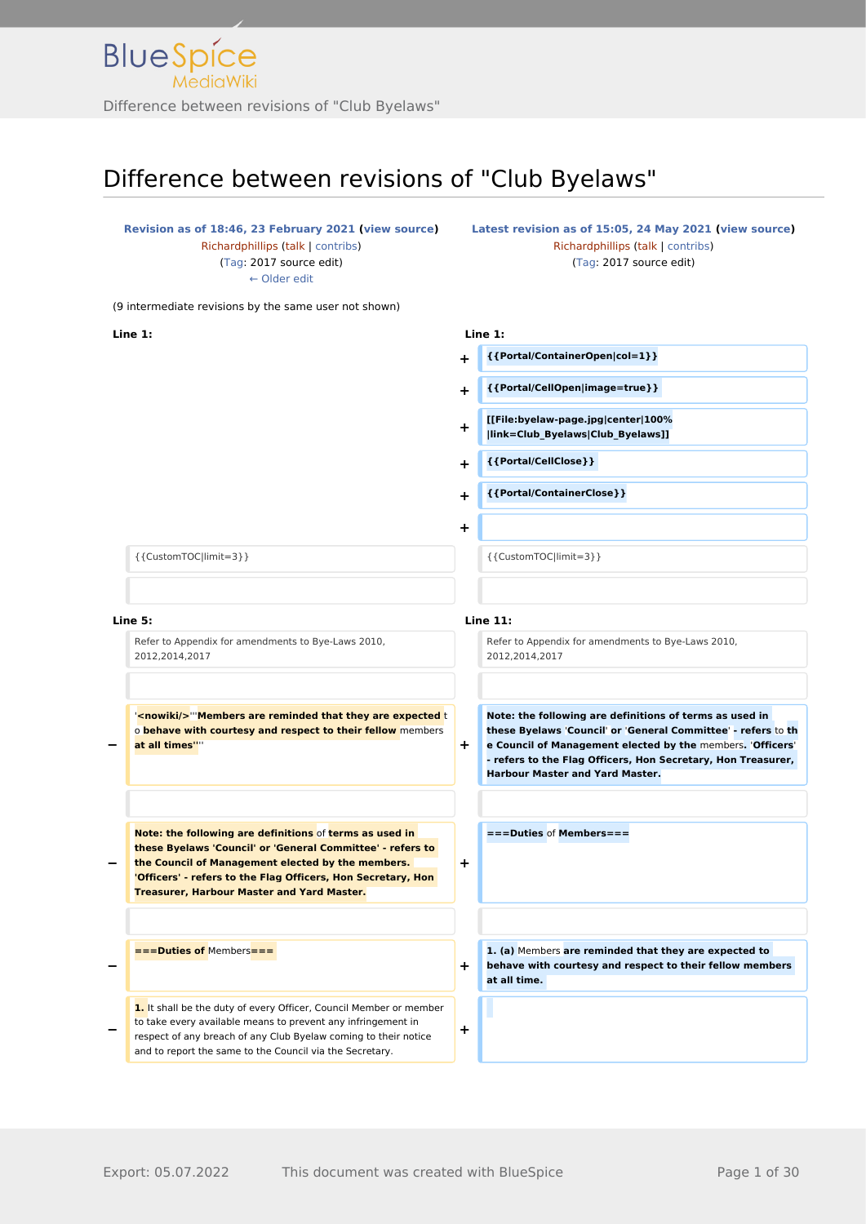#### **[Revision as of 18:46, 23 February 2021](http://www.greenwichyachtclub.co.uk/w/index.php?title=Club_Byelaws&oldid=288) [\(view source](http://www.greenwichyachtclub.co.uk/w/index.php?title=Club_Byelaws&action=edit&oldid=288))** [Richardphillips](http://www.greenwichyachtclub.co.uk/w/index.php?title=User:Richardphillips&action=view) [\(talk](http://www.greenwichyachtclub.co.uk/w/index.php?title=User_talk:Richardphillips&action=view) | [contribs\)](http://www.greenwichyachtclub.co.uk/wiki/Special:Contributions/Richardphillips) [\(Tag](http://www.greenwichyachtclub.co.uk/wiki/Special:Tags): 2017 source edit) [← Older edit](http://www.greenwichyachtclub.co.uk/w/index.php?title=Club_Byelaws&diff=prev&oldid=288)

**[Latest revision as of 15:05, 24 May 2021](http://www.greenwichyachtclub.co.uk/w/index.php?title=Club_Byelaws&oldid=717) [\(view source\)](http://www.greenwichyachtclub.co.uk/w/index.php?title=Club_Byelaws&action=edit)** [Richardphillips](http://www.greenwichyachtclub.co.uk/w/index.php?title=User:Richardphillips&action=view) ([talk](http://www.greenwichyachtclub.co.uk/w/index.php?title=User_talk:Richardphillips&action=view) | [contribs](http://www.greenwichyachtclub.co.uk/wiki/Special:Contributions/Richardphillips)) [\(Tag:](http://www.greenwichyachtclub.co.uk/wiki/Special:Tags) 2017 source edit)

(9 intermediate revisions by the same user not shown)

**Line 1: Line 1:**

- **+ {{Portal/ContainerOpen|col=1}}**
- **+ {{Portal/CellOpen|image=true}}**
- **+ [[File:byelaw-page.jpg|center|100% |link=Club\_Byelaws|Club\_Byelaws]]**
- **+ {{Portal/CellClose}}**
- **+ {{Portal/ContainerClose}}**

 ${CustomTOC|limit=3}$ }

#### **Line 5: Line 11:**

**−**

**−**

**−**

Refer to Appendix for amendments to Bye-Laws 2010, 2012,2014,2017

'**<nowiki/>**'''**Members are reminded that they are expected** t o **behave with courtesy and respect to their fellow** members **at all times''**'' **+**

**− Note: the following are definitions** of **terms as used in these Byelaws 'Council' or 'General Committee' - refers to the Council of Management elected by the members. 'Officers' - refers to the Flag Officers, Hon Secretary, Hon Treasurer, Harbour Master and Yard Master.**

**===Duties of** Members**===** 

1. It shall be the duty of every Officer, Council Member or member to take every available means to prevent any infringement in respect of any breach of any Club Byelaw coming to their notice and to report the same to the Council via the Secretary.

**+**

**+**

**+**

**+**

Refer to Appendix for amendments to Bye-Laws 2010, 2012,2014,2017

**Note: the following are definitions of terms as used in these Byelaws** '**Council**' **or** '**General Committee**' **- refers** to **th e Council of Management elected by the** members**.** '**Officers**' **- refers to the Flag Officers, Hon Secretary, Hon Treasurer, Harbour Master and Yard Master.**

**===Duties** of **Members===**

**1. (a)** Members **are reminded that they are expected to behave with courtesy and respect to their fellow members at all time.**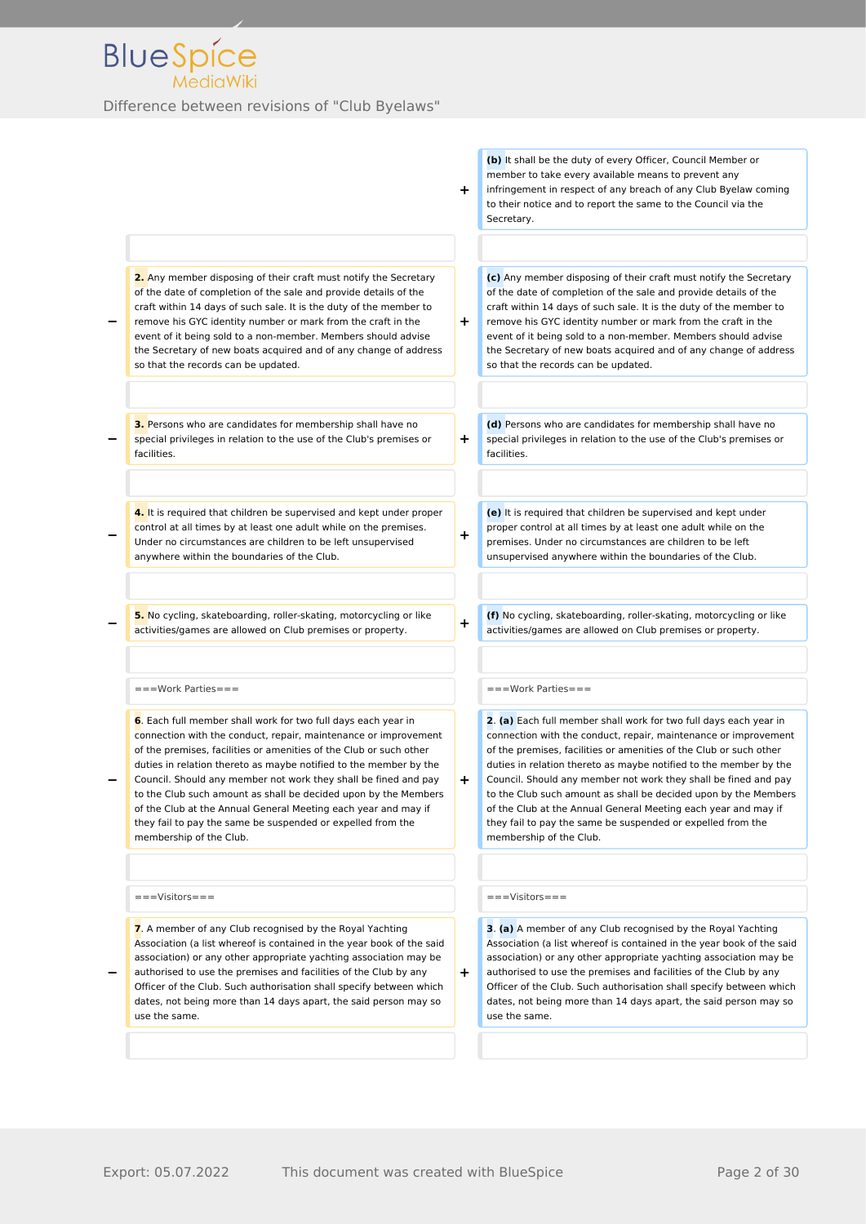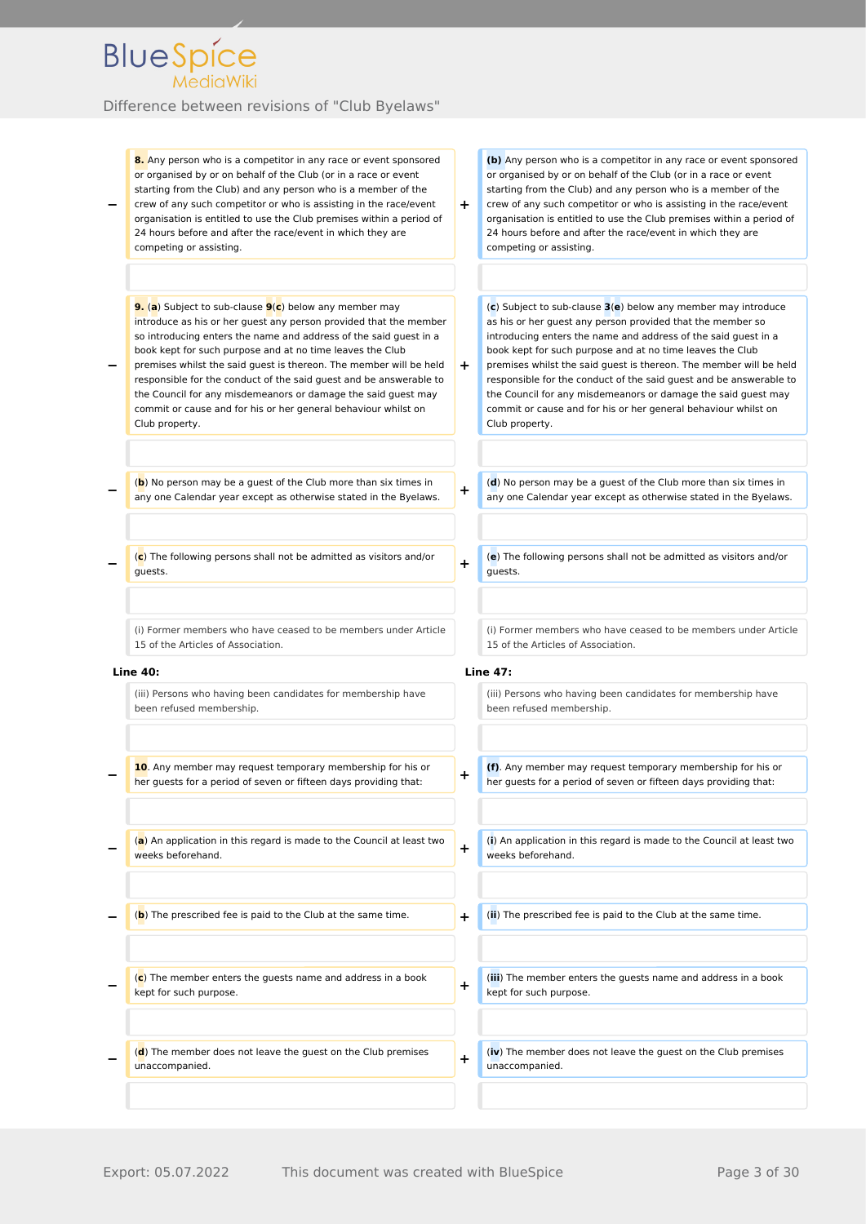| 8. Any person who is a competitor in any race or event sponsored                                                                          |           | (b) Any person who is a competitor in any race or event sponsored                                                                         |
|-------------------------------------------------------------------------------------------------------------------------------------------|-----------|-------------------------------------------------------------------------------------------------------------------------------------------|
| or organised by or on behalf of the Club (or in a race or event                                                                           |           | or organised by or on behalf of the Club (or in a race or event                                                                           |
| starting from the Club) and any person who is a member of the                                                                             |           | starting from the Club) and any person who is a member of the                                                                             |
| crew of any such competitor or who is assisting in the race/event<br>organisation is entitled to use the Club premises within a period of | ÷.        | crew of any such competitor or who is assisting in the race/event<br>organisation is entitled to use the Club premises within a period of |
| 24 hours before and after the race/event in which they are                                                                                |           | 24 hours before and after the race/event in which they are                                                                                |
| competing or assisting.                                                                                                                   |           | competing or assisting.                                                                                                                   |
|                                                                                                                                           |           |                                                                                                                                           |
| 9. (a) Subject to sub-clause 9(c) below any member may                                                                                    |           | $(c)$ Subject to sub-clause $3(e)$ below any member may introduce                                                                         |
| introduce as his or her guest any person provided that the member                                                                         |           | as his or her guest any person provided that the member so                                                                                |
| so introducing enters the name and address of the said guest in a                                                                         |           | introducing enters the name and address of the said guest in a                                                                            |
| book kept for such purpose and at no time leaves the Club<br>premises whilst the said guest is thereon. The member will be held           | $\pm$     | book kept for such purpose and at no time leaves the Club<br>premises whilst the said guest is thereon. The member will be held           |
| responsible for the conduct of the said guest and be answerable to                                                                        |           | responsible for the conduct of the said guest and be answerable to                                                                        |
| the Council for any misdemeanors or damage the said guest may                                                                             |           | the Council for any misdemeanors or damage the said guest may                                                                             |
| commit or cause and for his or her general behaviour whilst on                                                                            |           | commit or cause and for his or her general behaviour whilst on<br>Club property.                                                          |
| Club property.                                                                                                                            |           |                                                                                                                                           |
| (b) No person may be a guest of the Club more than six times in                                                                           | ٠         | (d) No person may be a guest of the Club more than six times in                                                                           |
| any one Calendar year except as otherwise stated in the Byelaws.                                                                          |           | any one Calendar year except as otherwise stated in the Byelaws.                                                                          |
|                                                                                                                                           |           |                                                                                                                                           |
| $(c)$ The following persons shall not be admitted as visitors and/or<br>guests.                                                           | ÷         | (e) The following persons shall not be admitted as visitors and/or<br>guests.                                                             |
|                                                                                                                                           |           |                                                                                                                                           |
| (i) Former members who have ceased to be members under Article                                                                            |           | (i) Former members who have ceased to be members under Article                                                                            |
| 15 of the Articles of Association.                                                                                                        |           | 15 of the Articles of Association.                                                                                                        |
| <b>Line 40:</b>                                                                                                                           |           | <b>Line 47:</b>                                                                                                                           |
| (iii) Persons who having been candidates for membership have<br>been refused membership.                                                  |           | (iii) Persons who having been candidates for membership have                                                                              |
|                                                                                                                                           |           | been refused membership.                                                                                                                  |
| 10. Any member may request temporary membership for his or                                                                                |           | (f). Any member may request temporary membership for his or                                                                               |
| her guests for a period of seven or fifteen days providing that:                                                                          | +         | her guests for a period of seven or fifteen days providing that:                                                                          |
|                                                                                                                                           |           |                                                                                                                                           |
| (a) An application in this regard is made to the Council at least two<br>weeks beforehand.                                                | $\ddot{}$ | (i) An application in this regard is made to the Council at least two<br>weeks beforehand.                                                |
| (b) The prescribed fee is paid to the Club at the same time.                                                                              | $\ddot{}$ | (ii) The prescribed fee is paid to the Club at the same time.                                                                             |
|                                                                                                                                           |           |                                                                                                                                           |
| $(c)$ The member enters the guests name and address in a book                                                                             | ٠         | (iii) The member enters the guests name and address in a book                                                                             |
| kept for such purpose.                                                                                                                    |           | kept for such purpose.                                                                                                                    |
| $(d)$ The member does not leave the guest on the Club premises                                                                            |           | (iv) The member does not leave the guest on the Club premises                                                                             |
| unaccompanied.                                                                                                                            | $\ddot{}$ | unaccompanied.                                                                                                                            |
|                                                                                                                                           |           |                                                                                                                                           |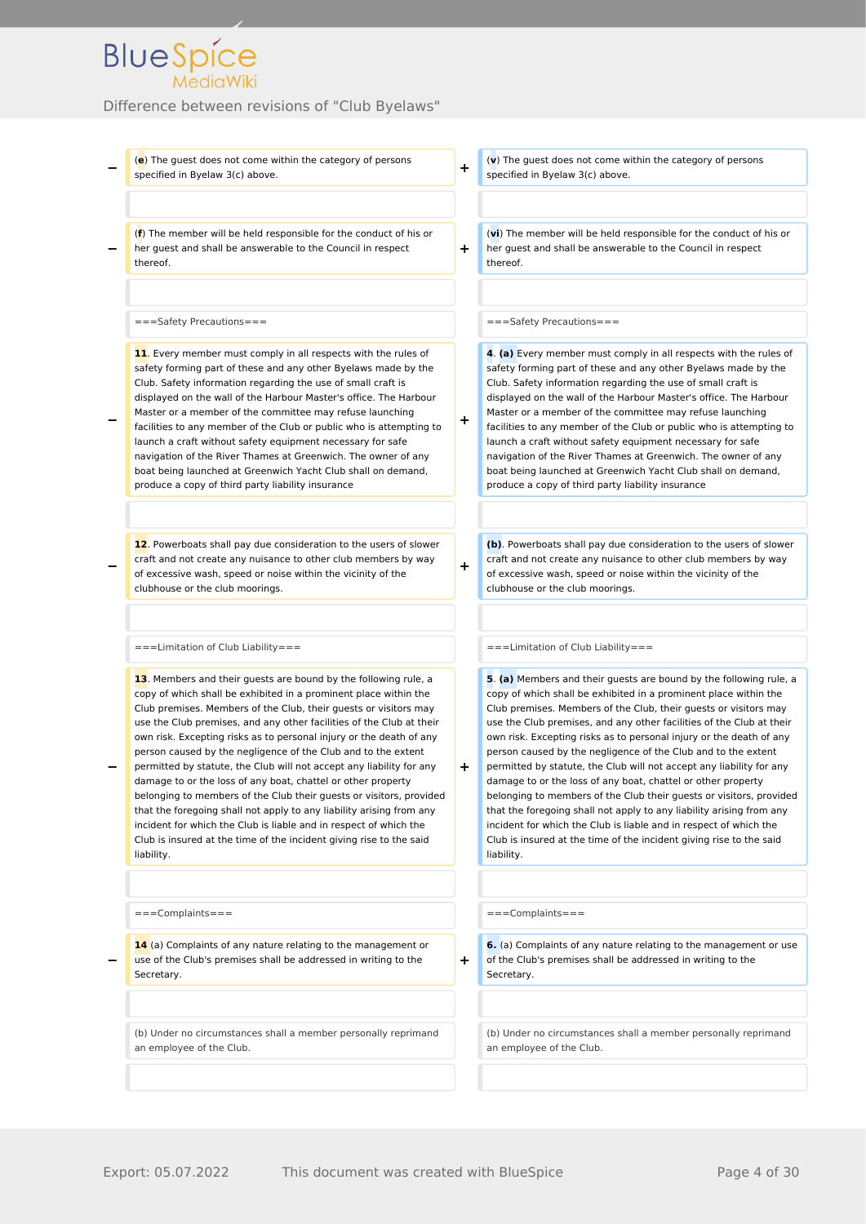#### Difference between revisions of "Club Byelaws"

**−** (**e**) The guest does not come within the category of persons specified in Byelaw 3(c) above. (**v**) The guest does not come within the category of persons specified in Byelaw 3(c) above. **−** (**f**) The member will be held responsible for the conduct of his or her guest and shall be answerable to the Council in respect thereof. **+** (**vi**) The member will be held responsible for the conduct of his or her guest and shall be answerable to the Council in respect thereof. ===Safety Precautions=== ===Safety Precautions=== **− 11**. Every member must comply in all respects with the rules of safety forming part of these and any other Byelaws made by the Club. Safety information regarding the use of small craft is displayed on the wall of the Harbour Master's office. The Harbour Master or a member of the committee may refuse launching facilities to any member of the Club or public who is attempting to launch a craft without safety equipment necessary for safe navigation of the River Thames at Greenwich. The owner of any boat being launched at Greenwich Yacht Club shall on demand, produce a copy of third party liability insurance **+ 4**. **(a)** Every member must comply in all respects with the rules of safety forming part of these and any other Byelaws made by the Club. Safety information regarding the use of small craft is displayed on the wall of the Harbour Master's office. The Harbour Master or a member of the committee may refuse launching facilities to any member of the Club or public who is attempting to launch a craft without safety equipment necessary for safe navigation of the River Thames at Greenwich. The owner of any boat being launched at Greenwich Yacht Club shall on demand, produce a copy of third party liability insurance **− 12**. Powerboats shall pay due consideration to the users of slower craft and not create any nuisance to other club members by way of excessive wash, speed or noise within the vicinity of the clubhouse or the club moorings. **+ (b)**. Powerboats shall pay due consideration to the users of slower craft and not create any nuisance to other club members by way of excessive wash, speed or noise within the vicinity of the clubhouse or the club moorings. ===Limitation of Club Liability=== ===Limitation of Club Liability=== **− 13**. Members and their guests are bound by the following rule, a copy of which shall be exhibited in a prominent place within the Club premises. Members of the Club, their guests or visitors may use the Club premises, and any other facilities of the Club at their own risk. Excepting risks as to personal injury or the death of any person caused by the negligence of the Club and to the extent permitted by statute, the Club will not accept any liability for any damage to or the loss of any boat, chattel or other property belonging to members of the Club their guests or visitors, provided that the foregoing shall not apply to any liability arising from any incident for which the Club is liable and in respect of which the Club is insured at the time of the incident giving rise to the said liability. **+ 5**. **(a)** Members and their guests are bound by the following rule, a copy of which shall be exhibited in a prominent place within the Club premises. Members of the Club, their guests or visitors may use the Club premises, and any other facilities of the Club at their own risk. Excepting risks as to personal injury or the death of any person caused by the negligence of the Club and to the extent permitted by statute, the Club will not accept any liability for any damage to or the loss of any boat, chattel or other property belonging to members of the Club their guests or visitors, provided that the foregoing shall not apply to any liability arising from any incident for which the Club is liable and in respect of which the Club is insured at the time of the incident giving rise to the said liability. ===Complaints=== ===Complaints=== **− 14** (a) Complaints of any nature relating to the management or use of the Club's premises shall be addressed in writing to the Secretary. **+ 6.** (a) Complaints of any nature relating to the management or use of the Club's premises shall be addressed in writing to the Secretary. (b) Under no circumstances shall a member personally reprimand an employee of the Club. (b) Under no circumstances shall a member personally reprimand an employee of the Club.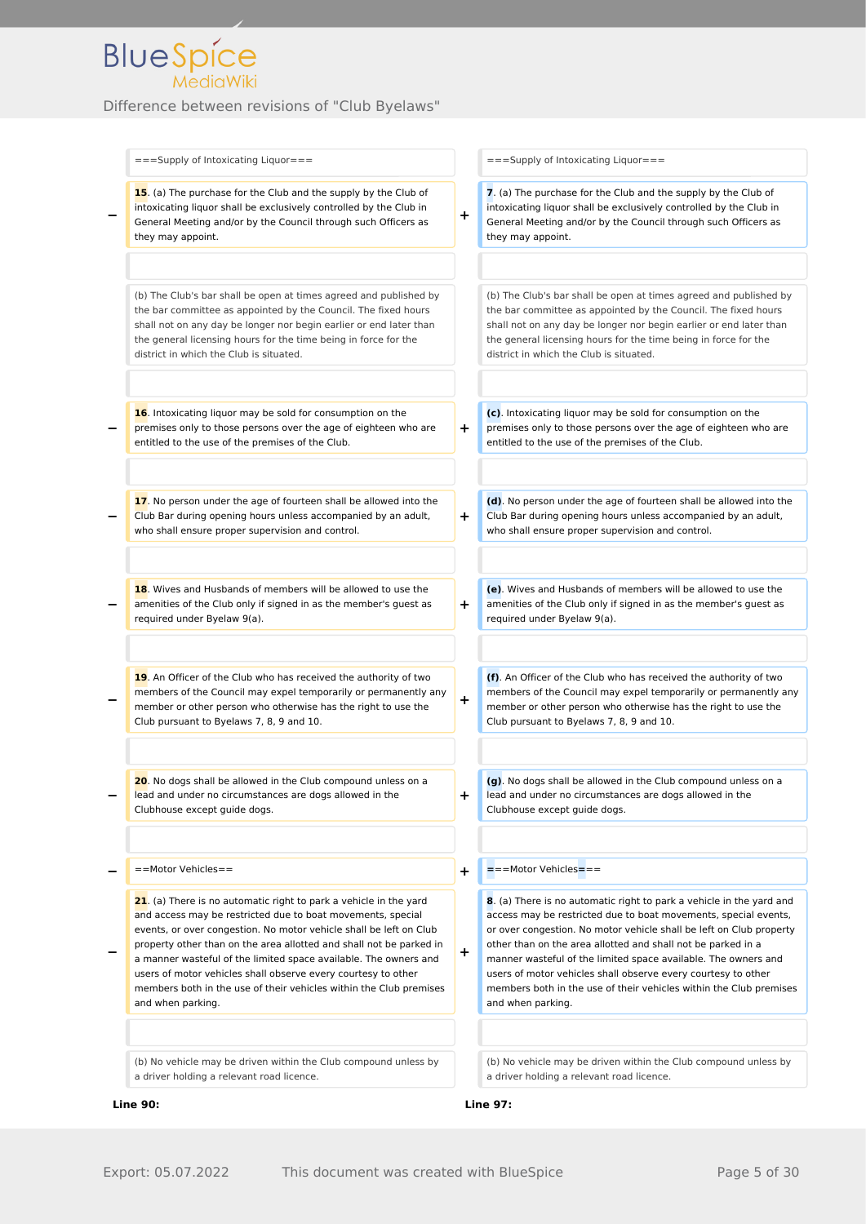| ===Supply of Intoxicating Liquor===                                                                                                                                                                                                                                                                                                                                                                                                                                                                           |           | $==$ Supply of Intoxicating Liquor===                                                                                                                                                                                                                                                                                                                                                                                                                                                                        |
|---------------------------------------------------------------------------------------------------------------------------------------------------------------------------------------------------------------------------------------------------------------------------------------------------------------------------------------------------------------------------------------------------------------------------------------------------------------------------------------------------------------|-----------|--------------------------------------------------------------------------------------------------------------------------------------------------------------------------------------------------------------------------------------------------------------------------------------------------------------------------------------------------------------------------------------------------------------------------------------------------------------------------------------------------------------|
| 15. (a) The purchase for the Club and the supply by the Club of<br>intoxicating liquor shall be exclusively controlled by the Club in<br>General Meeting and/or by the Council through such Officers as<br>they may appoint.                                                                                                                                                                                                                                                                                  | ÷         | 7. (a) The purchase for the Club and the supply by the Club of<br>intoxicating liguor shall be exclusively controlled by the Club in<br>General Meeting and/or by the Council through such Officers as<br>they may appoint.                                                                                                                                                                                                                                                                                  |
| (b) The Club's bar shall be open at times agreed and published by<br>the bar committee as appointed by the Council. The fixed hours<br>shall not on any day be longer nor begin earlier or end later than<br>the general licensing hours for the time being in force for the<br>district in which the Club is situated.                                                                                                                                                                                       |           | (b) The Club's bar shall be open at times agreed and published by<br>the bar committee as appointed by the Council. The fixed hours<br>shall not on any day be longer nor begin earlier or end later than<br>the general licensing hours for the time being in force for the<br>district in which the Club is situated.                                                                                                                                                                                      |
| 16. Intoxicating liquor may be sold for consumption on the<br>premises only to those persons over the age of eighteen who are<br>entitled to the use of the premises of the Club.                                                                                                                                                                                                                                                                                                                             | ٠         | (c). Intoxicating liquor may be sold for consumption on the<br>premises only to those persons over the age of eighteen who are<br>entitled to the use of the premises of the Club.                                                                                                                                                                                                                                                                                                                           |
| 17. No person under the age of fourteen shall be allowed into the<br>Club Bar during opening hours unless accompanied by an adult,<br>who shall ensure proper supervision and control.                                                                                                                                                                                                                                                                                                                        | $\div$    | (d). No person under the age of fourteen shall be allowed into the<br>Club Bar during opening hours unless accompanied by an adult,<br>who shall ensure proper supervision and control.                                                                                                                                                                                                                                                                                                                      |
| 18. Wives and Husbands of members will be allowed to use the<br>amenities of the Club only if signed in as the member's guest as<br>required under Byelaw 9(a).                                                                                                                                                                                                                                                                                                                                               | ÷         | (e). Wives and Husbands of members will be allowed to use the<br>amenities of the Club only if signed in as the member's guest as<br>required under Byelaw 9(a).                                                                                                                                                                                                                                                                                                                                             |
| 19. An Officer of the Club who has received the authority of two<br>members of the Council may expel temporarily or permanently any<br>member or other person who otherwise has the right to use the<br>Club pursuant to Byelaws 7, 8, 9 and 10.                                                                                                                                                                                                                                                              | ÷         | (f). An Officer of the Club who has received the authority of two<br>members of the Council may expel temporarily or permanently any<br>member or other person who otherwise has the right to use the<br>Club pursuant to Byelaws 7, 8, 9 and 10.                                                                                                                                                                                                                                                            |
| 20. No dogs shall be allowed in the Club compound unless on a<br>lead and under no circumstances are dogs allowed in the<br>Clubhouse except guide dogs.                                                                                                                                                                                                                                                                                                                                                      | ÷         | (g). No dogs shall be allowed in the Club compound unless on a<br>lead and under no circumstances are dogs allowed in the<br>Clubhouse except guide dogs.                                                                                                                                                                                                                                                                                                                                                    |
| ==Motor Vehicles==                                                                                                                                                                                                                                                                                                                                                                                                                                                                                            | ٠         | ===Motor Vehicles===                                                                                                                                                                                                                                                                                                                                                                                                                                                                                         |
| 21. (a) There is no automatic right to park a vehicle in the yard<br>and access may be restricted due to boat movements, special<br>events, or over congestion. No motor vehicle shall be left on Club<br>property other than on the area allotted and shall not be parked in<br>a manner wasteful of the limited space available. The owners and<br>users of motor vehicles shall observe every courtesy to other<br>members both in the use of their vehicles within the Club premises<br>and when parking. | $\ddot{}$ | 8. (a) There is no automatic right to park a vehicle in the yard and<br>access may be restricted due to boat movements, special events,<br>or over congestion. No motor vehicle shall be left on Club property<br>other than on the area allotted and shall not be parked in a<br>manner wasteful of the limited space available. The owners and<br>users of motor vehicles shall observe every courtesy to other<br>members both in the use of their vehicles within the Club premises<br>and when parking. |
| (b) No vehicle may be driven within the Club compound unless by<br>a driver holding a relevant road licence.                                                                                                                                                                                                                                                                                                                                                                                                  |           | (b) No vehicle may be driven within the Club compound unless by<br>a driver holding a relevant road licence.                                                                                                                                                                                                                                                                                                                                                                                                 |
| <b>Line 90:</b>                                                                                                                                                                                                                                                                                                                                                                                                                                                                                               |           | <b>Line 97:</b>                                                                                                                                                                                                                                                                                                                                                                                                                                                                                              |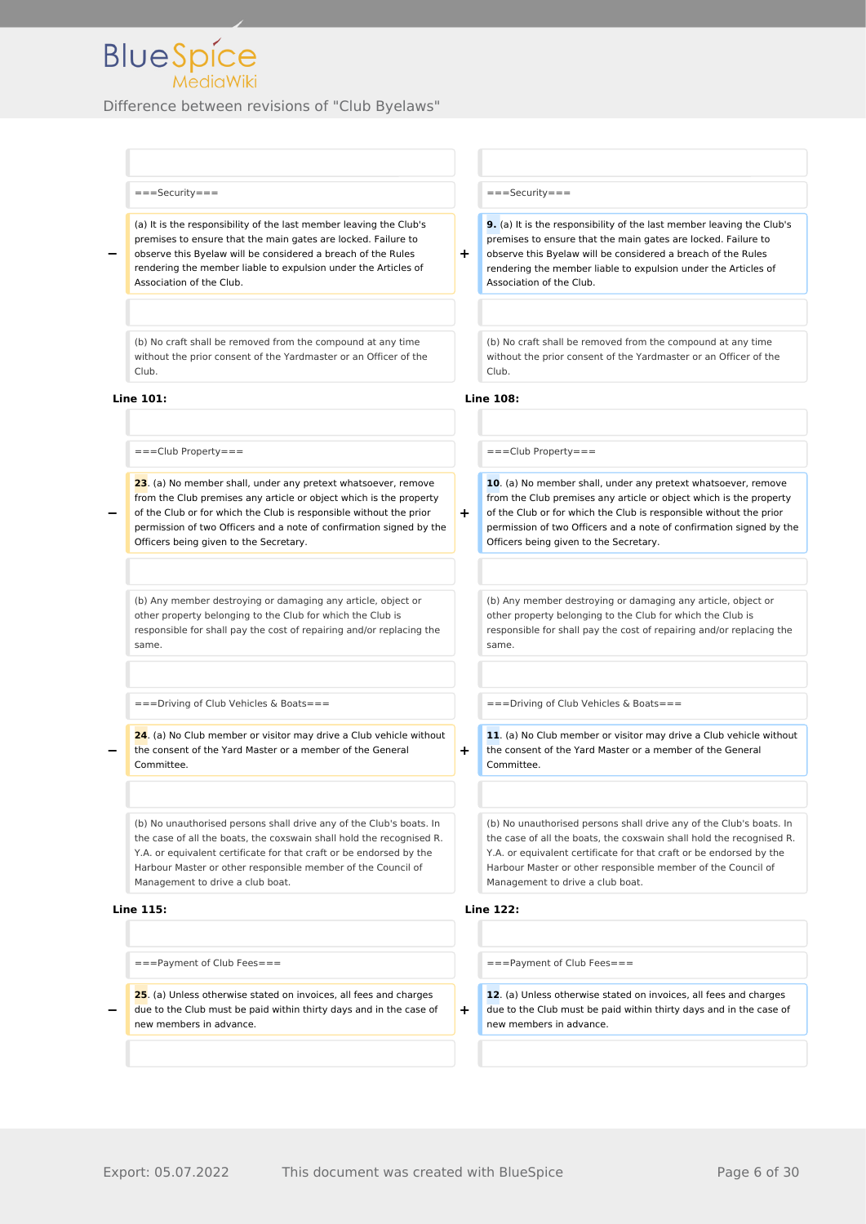

#### ===Security=== ===Security===

(a) It is the responsibility of the last member leaving the Club's premises to ensure that the main gates are locked. Failure to observe this Byelaw will be considered a breach of the Rules rendering the member liable to expulsion under the Articles of Association of the Club.

(b) No craft shall be removed from the compound at any time without the prior consent of the Yardmaster or an Officer of the Club.

#### **Line 101: Line 108:**

**−**

**−**

**−**

===Club Property=== ===Club Property===

**23**. (a) No member shall, under any pretext whatsoever, remove from the Club premises any article or object which is the property of the Club or for which the Club is responsible without the prior permission of two Officers and a note of confirmation signed by the Officers being given to the Secretary.

(b) Any member destroying or damaging any article, object or other property belonging to the Club for which the Club is responsible for shall pay the cost of repairing and/or replacing the same.

===Driving of Club Vehicles & Boats=== ===Driving of Club Vehicles & Boats===

**24**. (a) No Club member or visitor may drive a Club vehicle without the consent of the Yard Master or a member of the General Committee.

(b) No unauthorised persons shall drive any of the Club's boats. In the case of all the boats, the coxswain shall hold the recognised R. Y.A. or equivalent certificate for that craft or be endorsed by the Harbour Master or other responsible member of the Council of Management to drive a club boat.

#### **Line 115: Line 122:**

===Payment of Club Fees=== ===Payment of Club Fees===

**− 25**. (a) Unless otherwise stated on invoices, all fees and charges due to the Club must be paid within thirty days and in the case of new members in advance.

**9.** (a) It is the responsibility of the last member leaving the Club's premises to ensure that the main gates are locked. Failure to observe this Byelaw will be considered a breach of the Rules rendering the member liable to expulsion under the Articles of Association of the Club.

(b) No craft shall be removed from the compound at any time without the prior consent of the Yardmaster or an Officer of the Club.

**+**

**+**

**+**

**10**. (a) No member shall, under any pretext whatsoever, remove from the Club premises any article or object which is the property of the Club or for which the Club is responsible without the prior permission of two Officers and a note of confirmation signed by the Officers being given to the Secretary.

(b) Any member destroying or damaging any article, object or other property belonging to the Club for which the Club is responsible for shall pay the cost of repairing and/or replacing the same.

**11**. (a) No Club member or visitor may drive a Club vehicle without the consent of the Yard Master or a member of the General Committee.

(b) No unauthorised persons shall drive any of the Club's boats. In the case of all the boats, the coxswain shall hold the recognised R. Y.A. or equivalent certificate for that craft or be endorsed by the Harbour Master or other responsible member of the Council of Management to drive a club boat.

**+**

**12**. (a) Unless otherwise stated on invoices, all fees and charges due to the Club must be paid within thirty days and in the case of new members in advance.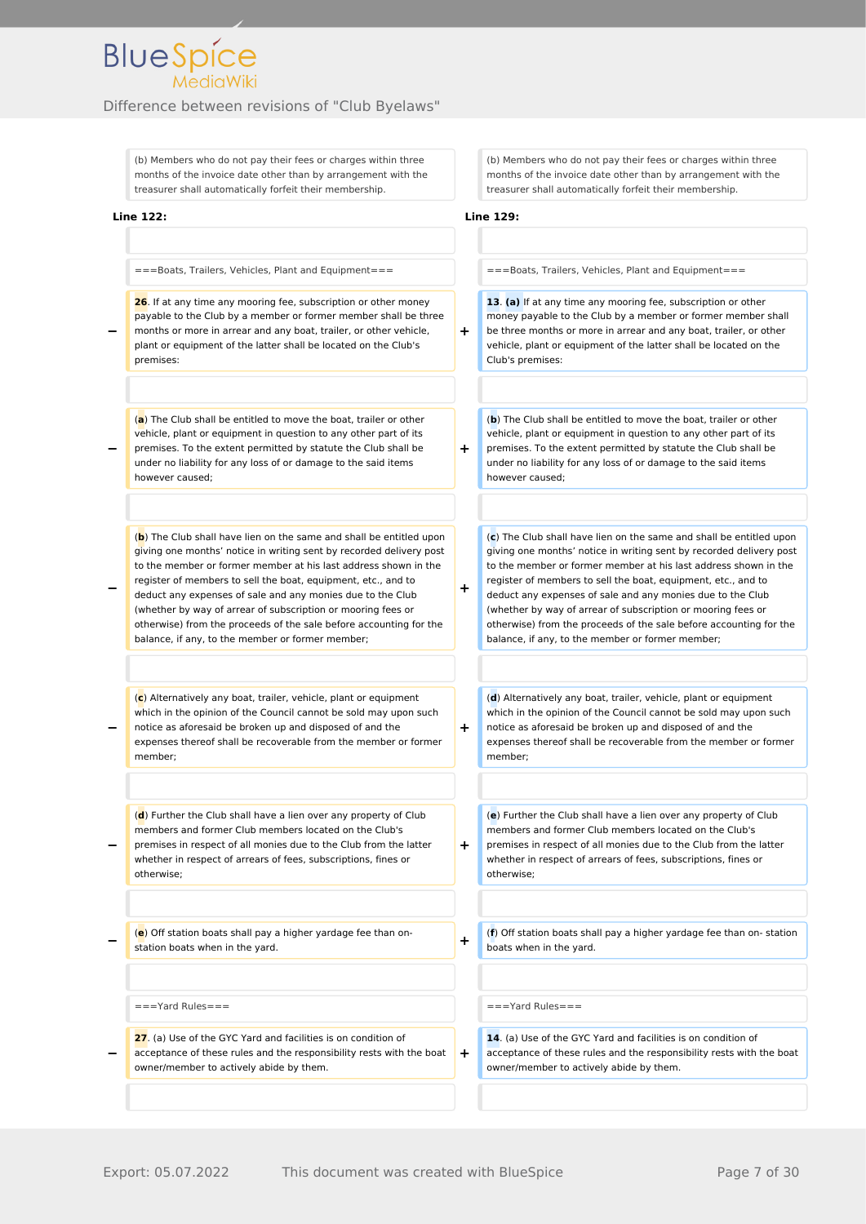

(b) Members who do not pay their fees or charges within three months of the invoice date other than by arrangement with the treasurer shall automatically forfeit their membership.

#### **Line 122: Line 129:**

**−**

**−**

**−**

**−**

===Boats, Trailers, Vehicles, Plant and Equipment=== ===Boats, Trailers, Vehicles, Plant and Equipment===

**− 26**. If at any time any mooring fee, subscription or other money payable to the Club by a member or former member shall be three months or more in arrear and any boat, trailer, or other vehicle, plant or equipment of the latter shall be located on the Club's premises:

(**a**) The Club shall be entitled to move the boat, trailer or other vehicle, plant or equipment in question to any other part of its premises. To the extent permitted by statute the Club shall be under no liability for any loss of or damage to the said items however caused;

(**b**) The Club shall have lien on the same and shall be entitled upon giving one months' notice in writing sent by recorded delivery post to the member or former member at his last address shown in the register of members to sell the boat, equipment, etc., and to deduct any expenses of sale and any monies due to the Club (whether by way of arrear of subscription or mooring fees or otherwise) from the proceeds of the sale before accounting for the balance, if any, to the member or former member;

(**c**) Alternatively any boat, trailer, vehicle, plant or equipment which in the opinion of the Council cannot be sold may upon such notice as aforesaid be broken up and disposed of and the expenses thereof shall be recoverable from the member or former member;

(**d**) Further the Club shall have a lien over any property of Club members and former Club members located on the Club's premises in respect of all monies due to the Club from the latter whether in respect of arrears of fees, subscriptions, fines or otherwise;

**−** (**e**) Off station boats shall pay a higher yardage fee than onstation boats when in the vard. **A** station boats when in the vard.

**−** 27. (a) Use of the GYC Yard and facilities is on condition of acceptance of these rules and the responsibility rests with the boat owner/member to actively abide by them.

(b) Members who do not pay their fees or charges within three months of the invoice date other than by arrangement with the treasurer shall automatically forfeit their membership.

**+**

**+**

**+**

**+**

**+**

**+**

**13**. **(a)** If at any time any mooring fee, subscription or other money payable to the Club by a member or former member shall be three months or more in arrear and any boat, trailer, or other vehicle, plant or equipment of the latter shall be located on the Club's premises:

(**b**) The Club shall be entitled to move the boat, trailer or other vehicle, plant or equipment in question to any other part of its premises. To the extent permitted by statute the Club shall be under no liability for any loss of or damage to the said items however caused;

(**c**) The Club shall have lien on the same and shall be entitled upon giving one months' notice in writing sent by recorded delivery post to the member or former member at his last address shown in the register of members to sell the boat, equipment, etc., and to deduct any expenses of sale and any monies due to the Club (whether by way of arrear of subscription or mooring fees or otherwise) from the proceeds of the sale before accounting for the balance, if any, to the member or former member;

(**d**) Alternatively any boat, trailer, vehicle, plant or equipment which in the opinion of the Council cannot be sold may upon such notice as aforesaid be broken up and disposed of and the expenses thereof shall be recoverable from the member or former member;

(**e**) Further the Club shall have a lien over any property of Club members and former Club members located on the Club's premises in respect of all monies due to the Club from the latter whether in respect of arrears of fees, subscriptions, fines or otherwise;

(**f**) Off station boats shall pay a higher yardage fee than on- station boats when in the yard.

===Yard Rules=== ===Yard Rules===

**14**. (a) Use of the GYC Yard and facilities is on condition of acceptance of these rules and the responsibility rests with the boat owner/member to actively abide by them.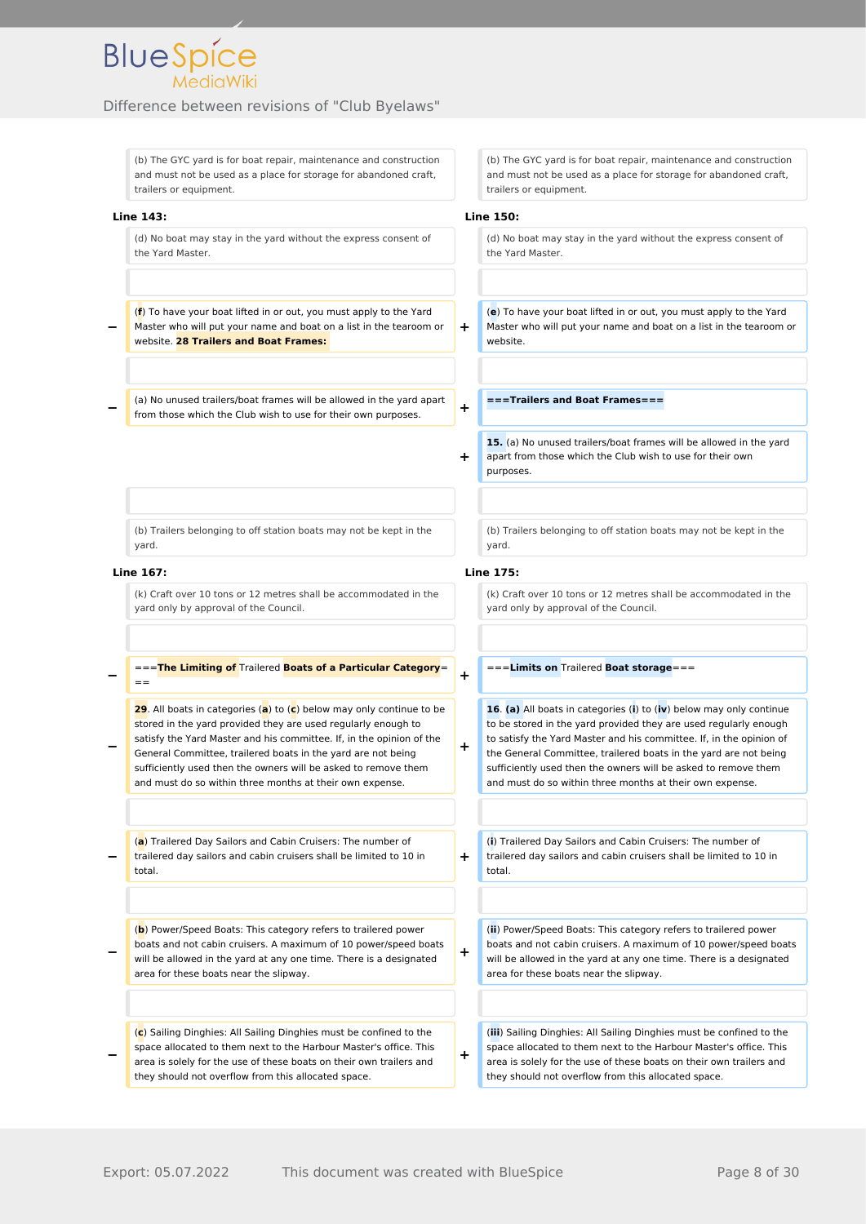

(b) The GYC yard is for boat repair, maintenance and construction and must not be used as a place for storage for abandoned craft, trailers or equipment.

**Line 143: Line 150:**

**−**

**−**

(d) No boat may stay in the yard without the express consent of the Yard Master.

(**f**) To have your boat lifted in or out, you must apply to the Yard Master who will put your name and boat on a list in the tearoom or website. **28 Trailers and Boat Frames:** 

(a) No unused trailers/boat frames will be allowed in the yard apart from those which the Club wish to use for their own purposes. **+**

(b) Trailers belonging to off station boats may not be kept in the yard.

#### **Line 167: Line 175:**

**−**

**−**

(k) Craft over 10 tons or 12 metres shall be accommodated in the yard only by approval of the Council.

===**The Limiting of** Trailered **Boats of a Particular Category**= ==

**29**. All boats in categories (**a**) to (**c**) below may only continue to be stored in the yard provided they are used regularly enough to satisfy the Yard Master and his committee. If, in the opinion of the General Committee, trailered boats in the yard are not being sufficiently used then the owners will be asked to remove them and must do so within three months at their own expense.

**−** (**a**) Trailered Day Sailors and Cabin Cruisers: The number of trailered day sailors and cabin cruisers shall be limited to 10 in total.

**−** (**b**) Power/Speed Boats: This category refers to trailered power boats and not cabin cruisers. A maximum of 10 power/speed boats will be allowed in the yard at any one time. There is a designated area for these boats near the slipway.

**−** (**c**) Sailing Dinghies: All Sailing Dinghies must be confined to the space allocated to them next to the Harbour Master's office. This area is solely for the use of these boats on their own trailers and they should not overflow from this allocated space.

(b) The GYC yard is for boat repair, maintenance and construction and must not be used as a place for storage for abandoned craft, trailers or equipment.

**+**

**+**

**+**

**+**

**+**

**+**

**+**

(d) No boat may stay in the yard without the express consent of the Yard Master.

(**e**) To have your boat lifted in or out, you must apply to the Yard Master who will put your name and boat on a list in the tearoom or website.

**===Trailers and Boat Frames===**

**15.** (a) No unused trailers/boat frames will be allowed in the yard apart from those which the Club wish to use for their own purposes.

(b) Trailers belonging to off station boats may not be kept in the yard.

(k) Craft over 10 tons or 12 metres shall be accommodated in the yard only by approval of the Council.

#### ===**Limits on** Trailered **Boat storage**===

**16**. **(a)** All boats in categories (**i**) to (**iv**) below may only continue to be stored in the yard provided they are used regularly enough to satisfy the Yard Master and his committee. If, in the opinion of the General Committee, trailered boats in the yard are not being sufficiently used then the owners will be asked to remove them and must do so within three months at their own expense.

(**i**) Trailered Day Sailors and Cabin Cruisers: The number of trailered day sailors and cabin cruisers shall be limited to 10 in total.

(**ii**) Power/Speed Boats: This category refers to trailered power boats and not cabin cruisers. A maximum of 10 power/speed boats will be allowed in the yard at any one time. There is a designated area for these boats near the slipway.

(**iii**) Sailing Dinghies: All Sailing Dinghies must be confined to the space allocated to them next to the Harbour Master's office. This area is solely for the use of these boats on their own trailers and they should not overflow from this allocated space.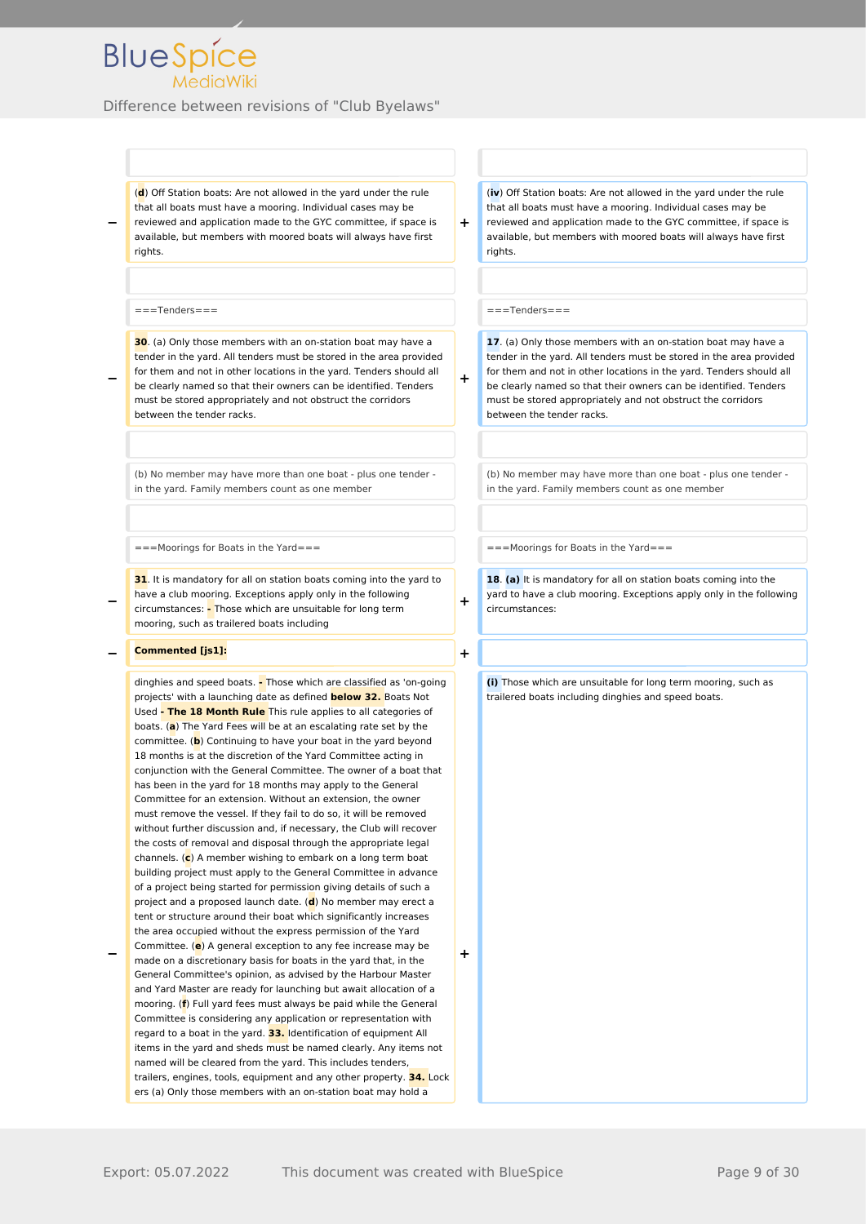Difference between revisions of "Club Byelaws"

(**d**) Off Station boats: Are not allowed in the yard under the rule that all boats must have a mooring. Individual cases may be reviewed and application made to the GYC committee, if space is available, but members with moored boats will always have first rights.

#### ===Tenders=== ===Tenders===

**−**

**−**

**−**

**30**. (a) Only those members with an on-station boat may have a tender in the yard. All tenders must be stored in the area provided for them and not in other locations in the yard. Tenders should all be clearly named so that their owners can be identified. Tenders must be stored appropriately and not obstruct the corridors between the tender racks.

(b) No member may have more than one boat - plus one tender in the yard. Family members count as one member

**31**. It is mandatory for all on station boats coming into the yard to have a club mooring. Exceptions apply only in the following circumstances: **-** Those which are unsuitable for long term mooring, such as trailered boats including

#### **− Commented [js1]: +**

dinghies and speed boats. **-** Those which are classified as 'on-going projects' with a launching date as defined **below 32.** Boats Not Used **- The 18 Month Rule** This rule applies to all categories of boats. (**a**) The Yard Fees will be at an escalating rate set by the committee. (**b**) Continuing to have your boat in the yard beyond 18 months is at the discretion of the Yard Committee acting in conjunction with the General Committee. The owner of a boat that has been in the yard for 18 months may apply to the General Committee for an extension. Without an extension, the owner must remove the vessel. If they fail to do so, it will be removed without further discussion and, if necessary, the Club will recover the costs of removal and disposal through the appropriate legal channels. (**c**) A member wishing to embark on a long term boat building project must apply to the General Committee in advance of a project being started for permission giving details of such a project and a proposed launch date. (**d**) No member may erect a tent or structure around their boat which significantly increases the area occupied without the express permission of the Yard

**−** Committee. (**e**) A general exception to any fee increase may be made on a discretionary basis for boats in the yard that, in the General Committee's opinion, as advised by the Harbour Master and Yard Master are ready for launching but await allocation of a mooring. (**f**) Full yard fees must always be paid while the General Committee is considering any application or representation with regard to a boat in the yard. **33.** Identification of equipment All items in the yard and sheds must be named clearly. Any items not named will be cleared from the yard. This includes tenders, trailers, engines, tools, equipment and any other property. **34.** Lock ers (a) Only those members with an on-station boat may hold a

(**iv**) Off Station boats: Are not allowed in the yard under the rule that all boats must have a mooring. Individual cases may be reviewed and application made to the GYC committee, if space is available, but members with moored boats will always have first rights.

**+**

**+**

**17**. (a) Only those members with an on-station boat may have a tender in the yard. All tenders must be stored in the area provided for them and not in other locations in the yard. Tenders should all be clearly named so that their owners can be identified. Tenders must be stored appropriately and not obstruct the corridors between the tender racks.

(b) No member may have more than one boat - plus one tender in the yard. Family members count as one member

 $=$   $=$   $=$   $=$   $M$ oorings for Boats in the Yard=  $=$   $=$   $=$   $=$   $=$   $=$   $=$   $M$ oorings for Boats in the Yard=  $=$ 

**18**. **(a)** It is mandatory for all on station boats coming into the yard to have a club mooring. Exceptions apply only in the following circumstances:

**+**

**+**

**(i)** Those which are unsuitable for long term mooring, such as trailered boats including dinghies and speed boats.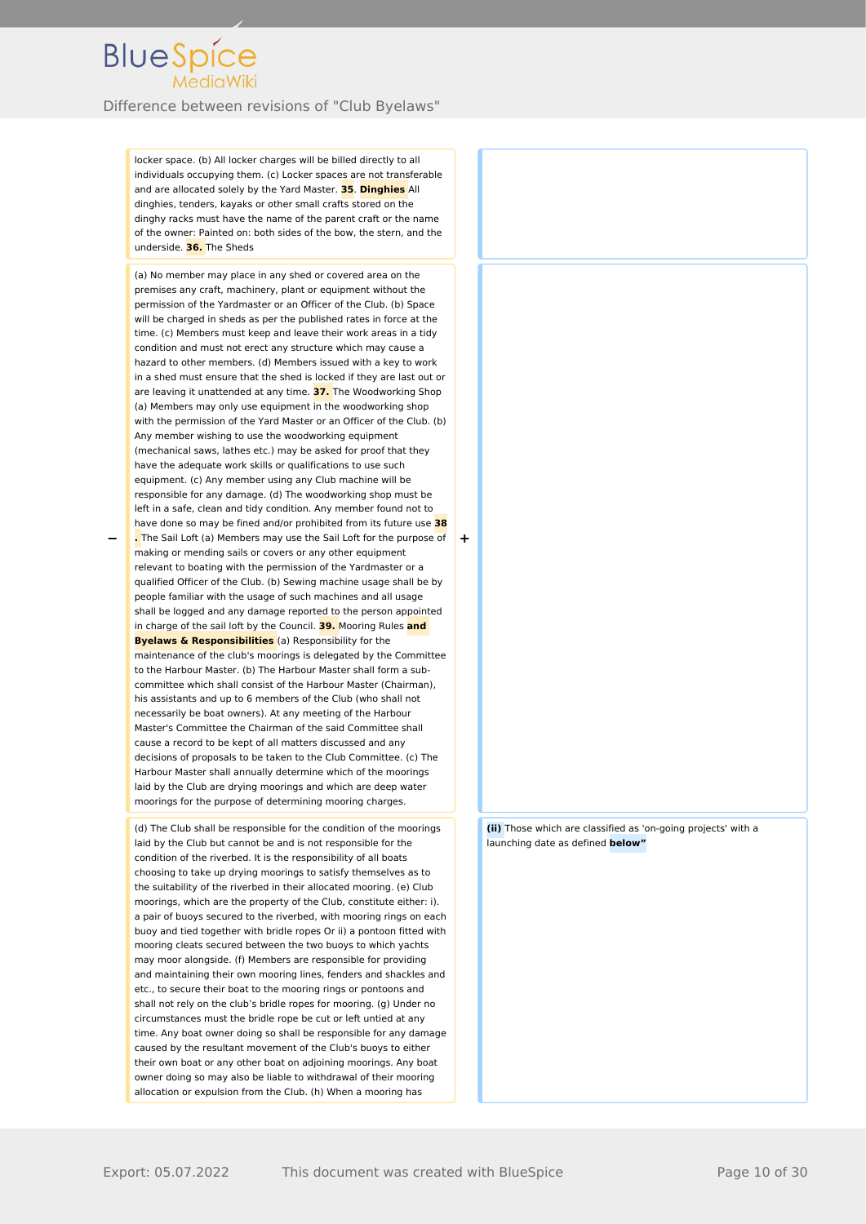Difference between revisions of "Club Byelaws"

locker space. (b) All locker charges will be billed directly to all individuals occupying them. (c) Locker spaces are not transferable and are allocated solely by the Yard Master. **35**. **Dinghies** All dinghies, tenders, kayaks or other small crafts stored on the dinghy racks must have the name of the parent craft or the name of the owner: Painted on: both sides of the bow, the stern, and the underside. **36.** The Sheds

(a) No member may place in any shed or covered area on the premises any craft, machinery, plant or equipment without the permission of the Yardmaster or an Officer of the Club. (b) Space will be charged in sheds as per the published rates in force at the time. (c) Members must keep and leave their work areas in a tidy condition and must not erect any structure which may cause a hazard to other members. (d) Members issued with a key to work in a shed must ensure that the shed is locked if they are last out or are leaving it unattended at any time. **37.** The Woodworking Shop (a) Members may only use equipment in the woodworking shop with the permission of the Yard Master or an Officer of the Club. (b) Any member wishing to use the woodworking equipment (mechanical saws, lathes etc.) may be asked for proof that they have the adequate work skills or qualifications to use such equipment. (c) Any member using any Club machine will be responsible for any damage. (d) The woodworking shop must be left in a safe, clean and tidy condition. Any member found not to have done so may be fined and/or prohibited from its future use **38 .** The Sail Loft (a) Members may use the Sail Loft for the purpose of making or mending sails or covers or any other equipment relevant to boating with the permission of the Yardmaster or a qualified Officer of the Club. (b) Sewing machine usage shall be by people familiar with the usage of such machines and all usage

**−**

shall be logged and any damage reported to the person appointed in charge of the sail loft by the Council. **39.** Mooring Rules **and Byelaws & Responsibilities** (a) Responsibility for the maintenance of the club's moorings is delegated by the Committee to the Harbour Master. (b) The Harbour Master shall form a subcommittee which shall consist of the Harbour Master (Chairman), his assistants and up to 6 members of the Club (who shall not necessarily be boat owners). At any meeting of the Harbour Master's Committee the Chairman of the said Committee shall cause a record to be kept of all matters discussed and any decisions of proposals to be taken to the Club Committee. (c) The Harbour Master shall annually determine which of the moorings laid by the Club are drying moorings and which are deep water moorings for the purpose of determining mooring charges. (d) The Club shall be responsible for the condition of the moorings

laid by the Club but cannot be and is not responsible for the condition of the riverbed. It is the responsibility of all boats choosing to take up drying moorings to satisfy themselves as to the suitability of the riverbed in their allocated mooring. (e) Club moorings, which are the property of the Club, constitute either: i). a pair of buoys secured to the riverbed, with mooring rings on each buoy and tied together with bridle ropes Or ii) a pontoon fitted with mooring cleats secured between the two buoys to which yachts may moor alongside. (f) Members are responsible for providing and maintaining their own mooring lines, fenders and shackles and etc., to secure their boat to the mooring rings or pontoons and shall not rely on the club's bridle ropes for mooring. (g) Under no circumstances must the bridle rope be cut or left untied at any time. Any boat owner doing so shall be responsible for any damage caused by the resultant movement of the Club's buoys to either their own boat or any other boat on adjoining moorings. Any boat owner doing so may also be liable to withdrawal of their mooring allocation or expulsion from the Club. (h) When a mooring has

**(ii)** Those which are classified as 'on-going projects' with a launching date as defined **below"**

**+**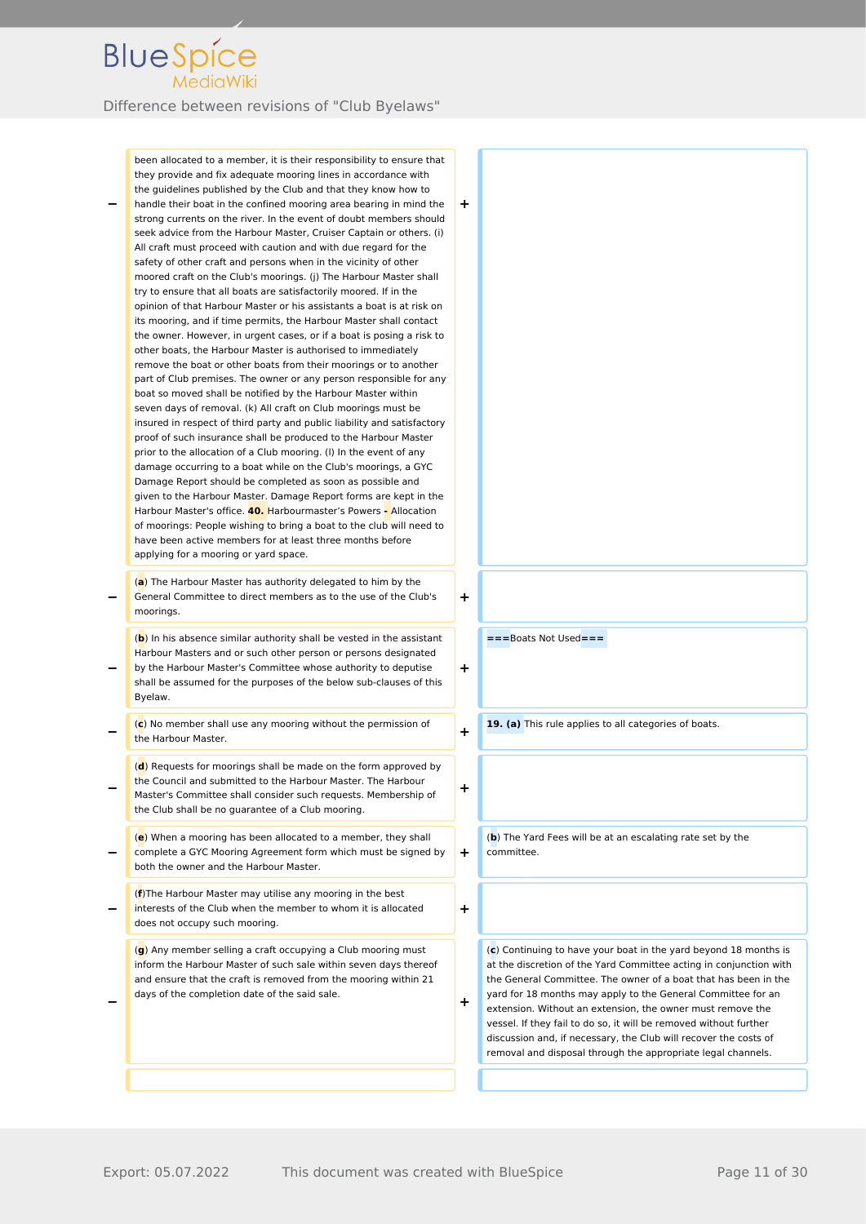Difference between revisions of "Club Byelaws"

**−** been allocated to a member, it is their responsibility to ensure that they provide and fix adequate mooring lines in accordance with the guidelines published by the Club and that they know how to handle their boat in the confined mooring area bearing in mind the strong currents on the river. In the event of doubt members should seek advice from the Harbour Master, Cruiser Captain or others. (i) All craft must proceed with caution and with due regard for the safety of other craft and persons when in the vicinity of other moored craft on the Club's moorings. (j) The Harbour Master shall try to ensure that all boats are satisfactorily moored. If in the opinion of that Harbour Master or his assistants a boat is at risk on its mooring, and if time permits, the Harbour Master shall contact the owner. However, in urgent cases, or if a boat is posing a risk to other boats, the Harbour Master is authorised to immediately remove the boat or other boats from their moorings or to another part of Club premises. The owner or any person responsible for any boat so moved shall be notified by the Harbour Master within seven days of removal. (k) All craft on Club moorings must be insured in respect of third party and public liability and satisfactory proof of such insurance shall be produced to the Harbour Master prior to the allocation of a Club mooring. (l) In the event of any damage occurring to a boat while on the Club's moorings, a GYC Damage Report should be completed as soon as possible and given to the Harbour Master. Damage Report forms are kept in the Harbour Master's office. **40.** Harbourmaster's Powers **-** Allocation of moorings: People wishing to bring a boat to the club will need to have been active members for at least three months before applying for a mooring or yard space. **+ −** (**a**) The Harbour Master has authority delegated to him by the General Committee to direct members as to the use of the Club's moorings. **+ −** (**b**) In his absence similar authority shall be vested in the assistant Harbour Masters and or such other person or persons designated by the Harbour Master's Committee whose authority to deputise shall be assumed for the purposes of the below sub-clauses of this Byelaw. **+ −** (**c**) No member shall use any mooring without the permission of the Harbour Master. **+ −** (**d**) Requests for moorings shall be made on the form approved by the Council and submitted to the Harbour Master. The Harbour Master's Committee shall consider such requests. Membership of the Club shall be no guarantee of a Club mooring. **+ −** (**e**) When a mooring has been allocated to a member, they shall complete a GYC Mooring Agreement form which must be signed by both the owner and the Harbour Master. **+ −** (**f**)The Harbour Master may utilise any mooring in the best interests of the Club when the member to whom it is allocated does not occupy such mooring. **+**

(**g**) Any member selling a craft occupying a Club mooring must inform the Harbour Master of such sale within seven days thereof and ensure that the craft is removed from the mooring within 21 days of the completion date of the said sale.

**−**

**+**

**===**Boats Not Used**===** 

19. (a) This rule applies to all categories of boats.

(**b**) The Yard Fees will be at an escalating rate set by the committee.

(**c**) Continuing to have your boat in the yard beyond 18 months is at the discretion of the Yard Committee acting in conjunction with the General Committee. The owner of a boat that has been in the yard for 18 months may apply to the General Committee for an extension. Without an extension, the owner must remove the vessel. If they fail to do so, it will be removed without further discussion and, if necessary, the Club will recover the costs of removal and disposal through the appropriate legal channels.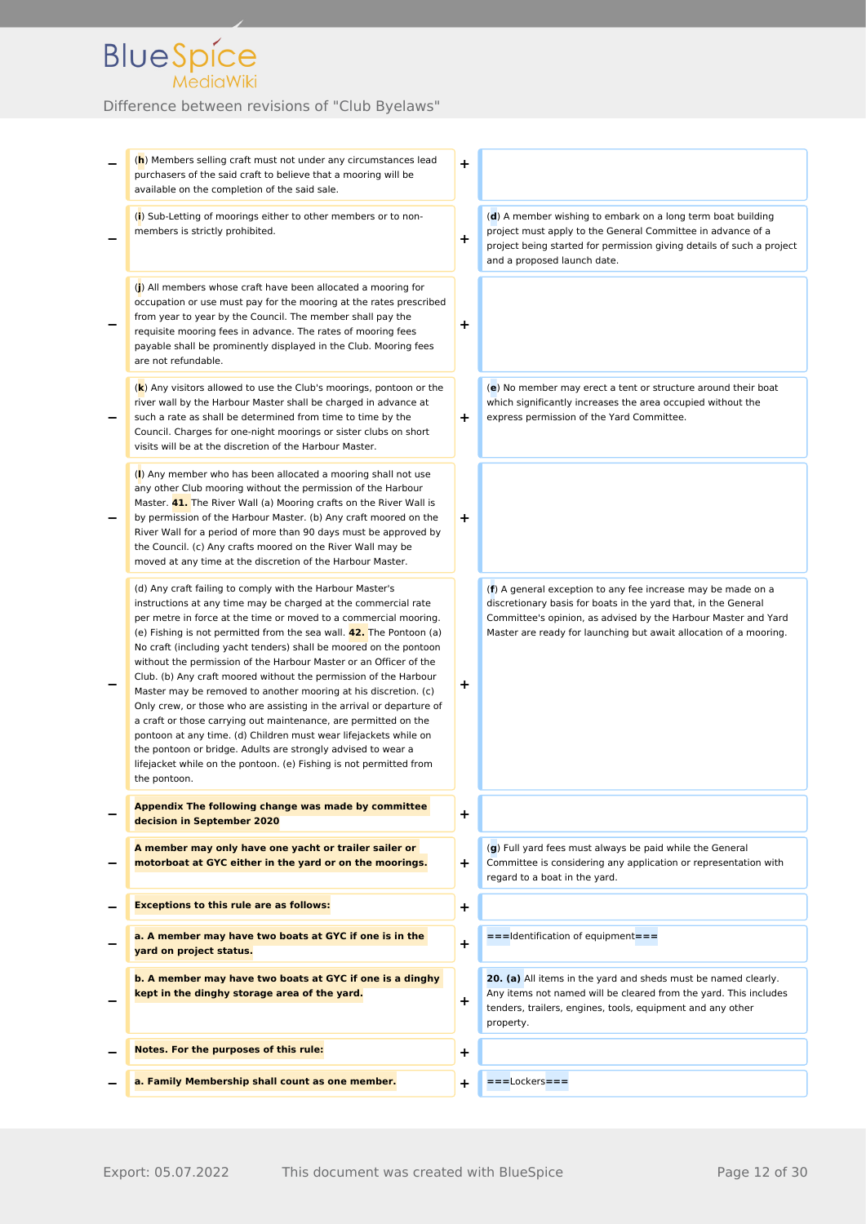| (h) Members selling craft must not under any circumstances lead<br>purchasers of the said craft to believe that a mooring will be<br>available on the completion of the said sale.                                                                                                                                                                                                                                                                                                                                                                                                                                                                                                                                                                                                                                                                                                                                                  | +         |                                                                                                                                                                                                                                                                       |
|-------------------------------------------------------------------------------------------------------------------------------------------------------------------------------------------------------------------------------------------------------------------------------------------------------------------------------------------------------------------------------------------------------------------------------------------------------------------------------------------------------------------------------------------------------------------------------------------------------------------------------------------------------------------------------------------------------------------------------------------------------------------------------------------------------------------------------------------------------------------------------------------------------------------------------------|-----------|-----------------------------------------------------------------------------------------------------------------------------------------------------------------------------------------------------------------------------------------------------------------------|
| (i) Sub-Letting of moorings either to other members or to non-<br>members is strictly prohibited.                                                                                                                                                                                                                                                                                                                                                                                                                                                                                                                                                                                                                                                                                                                                                                                                                                   | +         | (d) A member wishing to embark on a long term boat building<br>project must apply to the General Committee in advance of a<br>project being started for permission giving details of such a project<br>and a proposed launch date.                                    |
| (j) All members whose craft have been allocated a mooring for<br>occupation or use must pay for the mooring at the rates prescribed<br>from year to year by the Council. The member shall pay the<br>requisite mooring fees in advance. The rates of mooring fees<br>payable shall be prominently displayed in the Club. Mooring fees<br>are not refundable.                                                                                                                                                                                                                                                                                                                                                                                                                                                                                                                                                                        | ÷         |                                                                                                                                                                                                                                                                       |
| (k) Any visitors allowed to use the Club's moorings, pontoon or the<br>river wall by the Harbour Master shall be charged in advance at<br>such a rate as shall be determined from time to time by the<br>Council. Charges for one-night moorings or sister clubs on short<br>visits will be at the discretion of the Harbour Master.                                                                                                                                                                                                                                                                                                                                                                                                                                                                                                                                                                                                | ÷.        | (e) No member may erect a tent or structure around their boat<br>which significantly increases the area occupied without the<br>express permission of the Yard Committee.                                                                                             |
| (I) Any member who has been allocated a mooring shall not use<br>any other Club mooring without the permission of the Harbour<br>Master. <b>41.</b> The River Wall (a) Mooring crafts on the River Wall is<br>by permission of the Harbour Master. (b) Any craft moored on the<br>River Wall for a period of more than 90 days must be approved by<br>the Council. (c) Any crafts moored on the River Wall may be<br>moved at any time at the discretion of the Harbour Master.                                                                                                                                                                                                                                                                                                                                                                                                                                                     | +         |                                                                                                                                                                                                                                                                       |
| (d) Any craft failing to comply with the Harbour Master's<br>instructions at any time may be charged at the commercial rate<br>per metre in force at the time or moved to a commercial mooring.<br>(e) Fishing is not permitted from the sea wall. <b>42.</b> The Pontoon (a)<br>No craft (including yacht tenders) shall be moored on the pontoon<br>without the permission of the Harbour Master or an Officer of the<br>Club. (b) Any craft moored without the permission of the Harbour<br>Master may be removed to another mooring at his discretion. (c)<br>Only crew, or those who are assisting in the arrival or departure of<br>a craft or those carrying out maintenance, are permitted on the<br>pontoon at any time. (d) Children must wear lifejackets while on<br>the pontoon or bridge. Adults are strongly advised to wear a<br>lifejacket while on the pontoon. (e) Fishing is not permitted from<br>the pontoon. | ٠         | (f) A general exception to any fee increase may be made on a<br>discretionary basis for boats in the yard that, in the General<br>Committee's opinion, as advised by the Harbour Master and Yard<br>Master are ready for launching but await allocation of a mooring. |
| Appendix The following change was made by committee<br>decision in September 2020                                                                                                                                                                                                                                                                                                                                                                                                                                                                                                                                                                                                                                                                                                                                                                                                                                                   | $\ddot{}$ |                                                                                                                                                                                                                                                                       |
| A member may only have one yacht or trailer sailer or<br>motorboat at GYC either in the yard or on the moorings.                                                                                                                                                                                                                                                                                                                                                                                                                                                                                                                                                                                                                                                                                                                                                                                                                    | ÷.        | (g) Full yard fees must always be paid while the General<br>Committee is considering any application or representation with<br>regard to a boat in the yard.                                                                                                          |
| <b>Exceptions to this rule are as follows:</b>                                                                                                                                                                                                                                                                                                                                                                                                                                                                                                                                                                                                                                                                                                                                                                                                                                                                                      | +         |                                                                                                                                                                                                                                                                       |
| a. A member may have two boats at GYC if one is in the<br>yard on project status.                                                                                                                                                                                                                                                                                                                                                                                                                                                                                                                                                                                                                                                                                                                                                                                                                                                   | $\ddot{}$ | === Identification of equipment===                                                                                                                                                                                                                                    |
| b. A member may have two boats at GYC if one is a dinghy<br>kept in the dinghy storage area of the yard.                                                                                                                                                                                                                                                                                                                                                                                                                                                                                                                                                                                                                                                                                                                                                                                                                            | $\ddot{}$ | 20. (a) All items in the yard and sheds must be named clearly.<br>Any items not named will be cleared from the yard. This includes<br>tenders, trailers, engines, tools, equipment and any other<br>property.                                                         |
| <b>Notes. For the purposes of this rule:</b>                                                                                                                                                                                                                                                                                                                                                                                                                                                                                                                                                                                                                                                                                                                                                                                                                                                                                        | +         |                                                                                                                                                                                                                                                                       |
| a. Family Membership shall count as one member.                                                                                                                                                                                                                                                                                                                                                                                                                                                                                                                                                                                                                                                                                                                                                                                                                                                                                     | +         | $===$ Lockers===                                                                                                                                                                                                                                                      |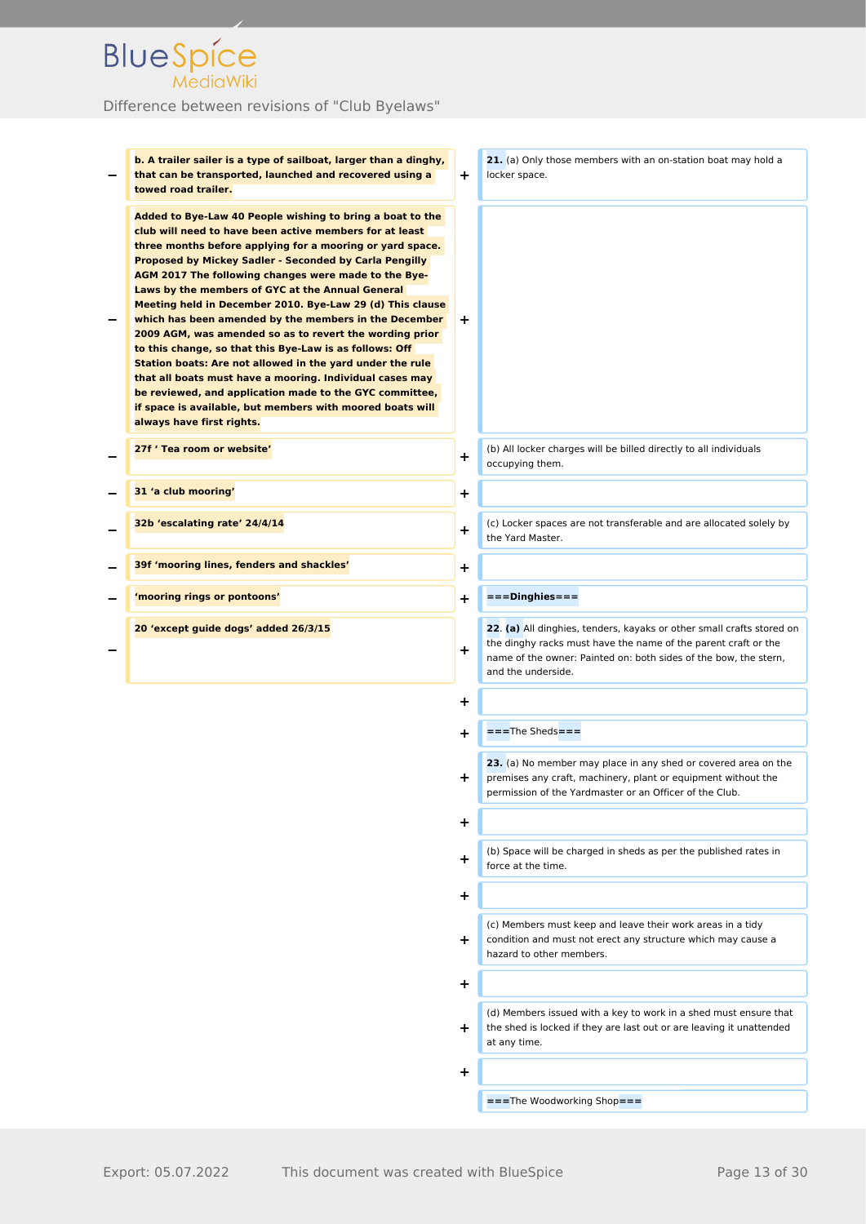| b. A trailer sailer is a type of sailboat, larger than a dinghy,<br>that can be transported, launched and recovered using a<br>towed road trailer.                                                                                                                                                                                                                                                                                                                                                                                                                                                                                                                                                                                                                                                                                                                                | ÷.        | 21. (a) Only those members with an on-station boat may hold a<br>locker space.                                                                                                                                                    |
|-----------------------------------------------------------------------------------------------------------------------------------------------------------------------------------------------------------------------------------------------------------------------------------------------------------------------------------------------------------------------------------------------------------------------------------------------------------------------------------------------------------------------------------------------------------------------------------------------------------------------------------------------------------------------------------------------------------------------------------------------------------------------------------------------------------------------------------------------------------------------------------|-----------|-----------------------------------------------------------------------------------------------------------------------------------------------------------------------------------------------------------------------------------|
| Added to Bye-Law 40 People wishing to bring a boat to the<br>club will need to have been active members for at least<br>three months before applying for a mooring or yard space.<br>Proposed by Mickey Sadler - Seconded by Carla Pengilly<br>AGM 2017 The following changes were made to the Bye-<br>Laws by the members of GYC at the Annual General<br>Meeting held in December 2010. Bye-Law 29 (d) This clause<br>which has been amended by the members in the December<br>2009 AGM, was amended so as to revert the wording prior<br>to this change, so that this Bye-Law is as follows: Off<br>Station boats: Are not allowed in the yard under the rule<br>that all boats must have a mooring. Individual cases may<br>be reviewed, and application made to the GYC committee,<br>if space is available, but members with moored boats will<br>always have first rights. | ÷.        |                                                                                                                                                                                                                                   |
| 27f 'Tea room or website'                                                                                                                                                                                                                                                                                                                                                                                                                                                                                                                                                                                                                                                                                                                                                                                                                                                         | $\pm$     | (b) All locker charges will be billed directly to all individuals<br>occupying them.                                                                                                                                              |
| 31 'a club mooring'                                                                                                                                                                                                                                                                                                                                                                                                                                                                                                                                                                                                                                                                                                                                                                                                                                                               | +         |                                                                                                                                                                                                                                   |
| 32b 'escalating rate' 24/4/14                                                                                                                                                                                                                                                                                                                                                                                                                                                                                                                                                                                                                                                                                                                                                                                                                                                     | ÷         | (c) Locker spaces are not transferable and are allocated solely by<br>the Yard Master.                                                                                                                                            |
| 39f 'mooring lines, fenders and shackles'                                                                                                                                                                                                                                                                                                                                                                                                                                                                                                                                                                                                                                                                                                                                                                                                                                         | $\ddot{}$ |                                                                                                                                                                                                                                   |
| 'mooring rings or pontoons'                                                                                                                                                                                                                                                                                                                                                                                                                                                                                                                                                                                                                                                                                                                                                                                                                                                       | +         | ===Dinghies===                                                                                                                                                                                                                    |
| 20 'except guide dogs' added 26/3/15                                                                                                                                                                                                                                                                                                                                                                                                                                                                                                                                                                                                                                                                                                                                                                                                                                              | $\pm$     | 22. (a) All dinghies, tenders, kayaks or other small crafts stored on<br>the dinghy racks must have the name of the parent craft or the<br>name of the owner: Painted on: both sides of the bow, the stern,<br>and the underside. |
|                                                                                                                                                                                                                                                                                                                                                                                                                                                                                                                                                                                                                                                                                                                                                                                                                                                                                   | +         |                                                                                                                                                                                                                                   |
|                                                                                                                                                                                                                                                                                                                                                                                                                                                                                                                                                                                                                                                                                                                                                                                                                                                                                   | +         | $===$ The Sheds $===$                                                                                                                                                                                                             |
|                                                                                                                                                                                                                                                                                                                                                                                                                                                                                                                                                                                                                                                                                                                                                                                                                                                                                   | +         | 23. (a) No member may place in any shed or covered area on the<br>premises any craft, machinery, plant or equipment without the<br>permission of the Yardmaster or an Officer of the Club.                                        |
|                                                                                                                                                                                                                                                                                                                                                                                                                                                                                                                                                                                                                                                                                                                                                                                                                                                                                   | +         |                                                                                                                                                                                                                                   |
|                                                                                                                                                                                                                                                                                                                                                                                                                                                                                                                                                                                                                                                                                                                                                                                                                                                                                   | ÷.        | (b) Space will be charged in sheds as per the published rates in<br>force at the time.                                                                                                                                            |
|                                                                                                                                                                                                                                                                                                                                                                                                                                                                                                                                                                                                                                                                                                                                                                                                                                                                                   | +         |                                                                                                                                                                                                                                   |
|                                                                                                                                                                                                                                                                                                                                                                                                                                                                                                                                                                                                                                                                                                                                                                                                                                                                                   | ÷.        | (c) Members must keep and leave their work areas in a tidy<br>condition and must not erect any structure which may cause a<br>hazard to other members.                                                                            |
|                                                                                                                                                                                                                                                                                                                                                                                                                                                                                                                                                                                                                                                                                                                                                                                                                                                                                   | ٠         |                                                                                                                                                                                                                                   |
|                                                                                                                                                                                                                                                                                                                                                                                                                                                                                                                                                                                                                                                                                                                                                                                                                                                                                   | +         | (d) Members issued with a key to work in a shed must ensure that<br>the shed is locked if they are last out or are leaving it unattended<br>at any time.                                                                          |
|                                                                                                                                                                                                                                                                                                                                                                                                                                                                                                                                                                                                                                                                                                                                                                                                                                                                                   | +         |                                                                                                                                                                                                                                   |
|                                                                                                                                                                                                                                                                                                                                                                                                                                                                                                                                                                                                                                                                                                                                                                                                                                                                                   |           | ===The Woodworking Shop===                                                                                                                                                                                                        |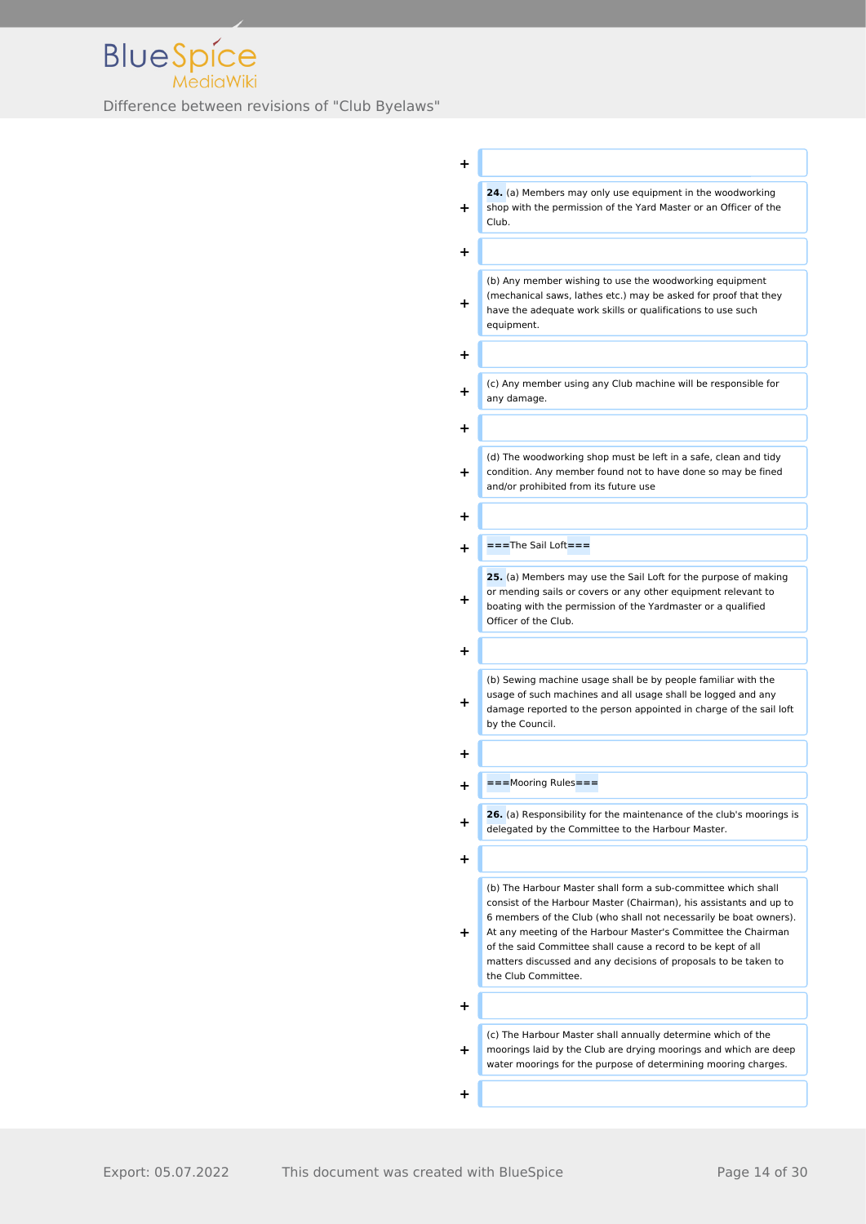

| +         |                                                                                                                                                                                                                                                                                                                                                                                                                                     |
|-----------|-------------------------------------------------------------------------------------------------------------------------------------------------------------------------------------------------------------------------------------------------------------------------------------------------------------------------------------------------------------------------------------------------------------------------------------|
| ٠         | 24. (a) Members may only use equipment in the woodworking<br>shop with the permission of the Yard Master or an Officer of the<br>Club.                                                                                                                                                                                                                                                                                              |
| +         |                                                                                                                                                                                                                                                                                                                                                                                                                                     |
| +         | (b) Any member wishing to use the woodworking equipment<br>(mechanical saws, lathes etc.) may be asked for proof that they<br>have the adequate work skills or qualifications to use such<br>equipment.                                                                                                                                                                                                                             |
| +         |                                                                                                                                                                                                                                                                                                                                                                                                                                     |
| ╉         | (c) Any member using any Club machine will be responsible for<br>any damage.                                                                                                                                                                                                                                                                                                                                                        |
| +         |                                                                                                                                                                                                                                                                                                                                                                                                                                     |
| +         | (d) The woodworking shop must be left in a safe, clean and tidy<br>condition. Any member found not to have done so may be fined<br>and/or prohibited from its future use                                                                                                                                                                                                                                                            |
| +         |                                                                                                                                                                                                                                                                                                                                                                                                                                     |
| $\ddot{}$ | ===The Sail Loft===                                                                                                                                                                                                                                                                                                                                                                                                                 |
| +         | 25. (a) Members may use the Sail Loft for the purpose of making<br>or mending sails or covers or any other equipment relevant to<br>boating with the permission of the Yardmaster or a qualified<br>Officer of the Club.                                                                                                                                                                                                            |
| +         |                                                                                                                                                                                                                                                                                                                                                                                                                                     |
| +         | (b) Sewing machine usage shall be by people familiar with the<br>usage of such machines and all usage shall be logged and any<br>damage reported to the person appointed in charge of the sail loft<br>by the Council.                                                                                                                                                                                                              |
| +         |                                                                                                                                                                                                                                                                                                                                                                                                                                     |
| +         | ===Mooring Rules===                                                                                                                                                                                                                                                                                                                                                                                                                 |
| ٠         | 26. (a) Responsibility for the maintenance of the club's moorings is<br>delegated by the Committee to the Harbour Master.                                                                                                                                                                                                                                                                                                           |
| ٠         |                                                                                                                                                                                                                                                                                                                                                                                                                                     |
| +         | (b) The Harbour Master shall form a sub-committee which shall<br>consist of the Harbour Master (Chairman), his assistants and up to<br>6 members of the Club (who shall not necessarily be boat owners).<br>At any meeting of the Harbour Master's Committee the Chairman<br>of the said Committee shall cause a record to be kept of all<br>matters discussed and any decisions of proposals to be taken to<br>the Club Committee. |
| +         |                                                                                                                                                                                                                                                                                                                                                                                                                                     |
|           | (c) The Harbour Master shall annually determine which of the                                                                                                                                                                                                                                                                                                                                                                        |
| ٠         | moorings laid by the Club are drying moorings and which are deep<br>water moorings for the purpose of determining mooring charges.                                                                                                                                                                                                                                                                                                  |
| +         |                                                                                                                                                                                                                                                                                                                                                                                                                                     |
|           |                                                                                                                                                                                                                                                                                                                                                                                                                                     |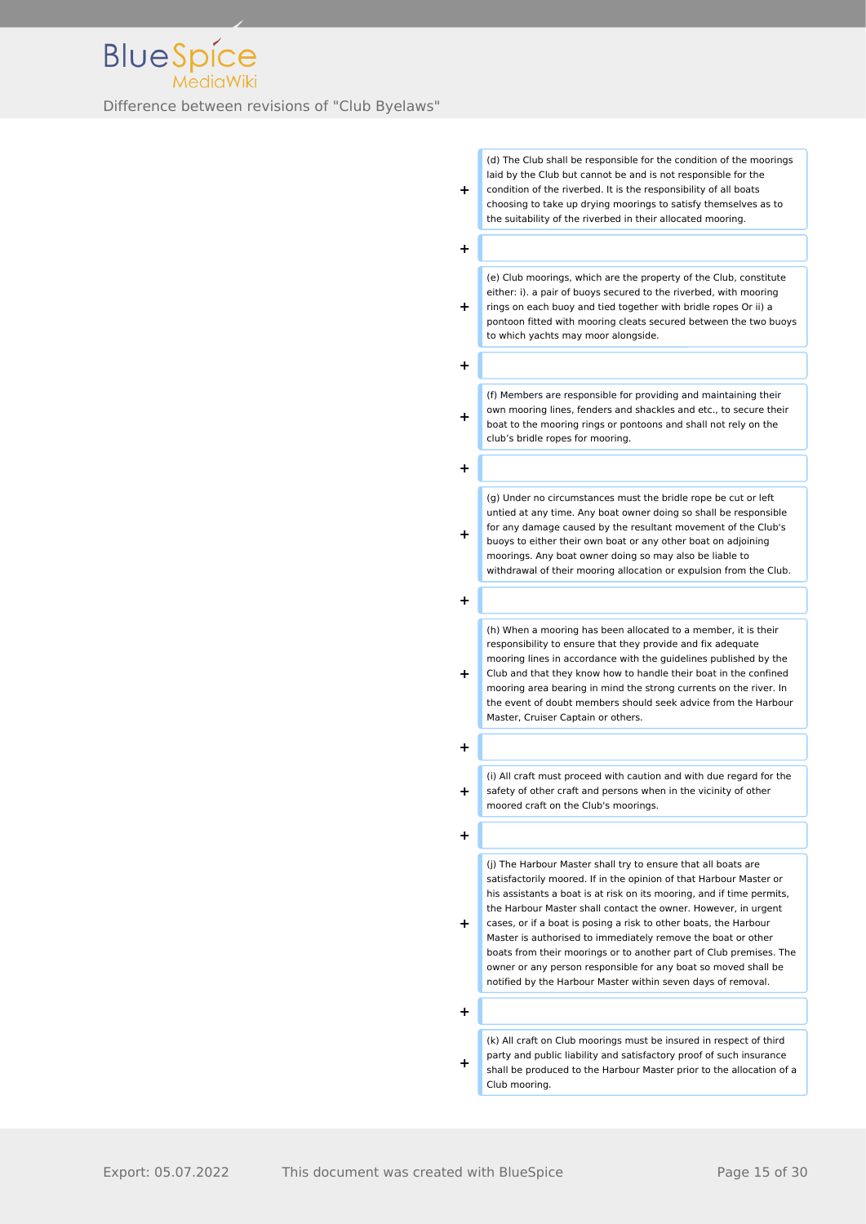(d) The Club shall be responsible for the condition of the moorings laid by the Club but cannot be and is not responsible for the

**+** condition of the riverbed. It is the responsibility of all boats choosing to take up drying moorings to satisfy themselves as to the suitability of the riverbed in their allocated mooring.

**+**

(e) Club moorings, which are the property of the Club, constitute either: i). a pair of buoys secured to the riverbed, with mooring

**+** rings on each buoy and tied together with bridle ropes Or ii) a pontoon fitted with mooring cleats secured between the two buoys to which yachts may moor alongside.

**+**

**+**

(f) Members are responsible for providing and maintaining their own mooring lines, fenders and shackles and etc., to secure their boat to the mooring rings or pontoons and shall not rely on the club's bridle ropes for mooring.

**+**

(g) Under no circumstances must the bridle rope be cut or left untied at any time. Any boat owner doing so shall be responsible for any damage caused by the resultant movement of the Club's

**+** buoys to either their own boat or any other boat on adjoining moorings. Any boat owner doing so may also be liable to withdrawal of their mooring allocation or expulsion from the Club.

**+**

(h) When a mooring has been allocated to a member, it is their responsibility to ensure that they provide and fix adequate mooring lines in accordance with the guidelines published by the

**+** Club and that they know how to handle their boat in the confined mooring area bearing in mind the strong currents on the river. In the event of doubt members should seek advice from the Harbour Master, Cruiser Captain or others.

**+**

**+**

(i) All craft must proceed with caution and with due regard for the safety of other craft and persons when in the vicinity of other moored craft on the Club's moorings.

**+**

(j) The Harbour Master shall try to ensure that all boats are satisfactorily moored. If in the opinion of that Harbour Master or his assistants a boat is at risk on its mooring, and if time permits, the Harbour Master shall contact the owner. However, in urgent

**+** cases, or if a boat is posing a risk to other boats, the Harbour Master is authorised to immediately remove the boat or other boats from their moorings or to another part of Club premises. The owner or any person responsible for any boat so moved shall be notified by the Harbour Master within seven days of removal.

**+**

**+**

(k) All craft on Club moorings must be insured in respect of third party and public liability and satisfactory proof of such insurance shall be produced to the Harbour Master prior to the allocation of a Club mooring.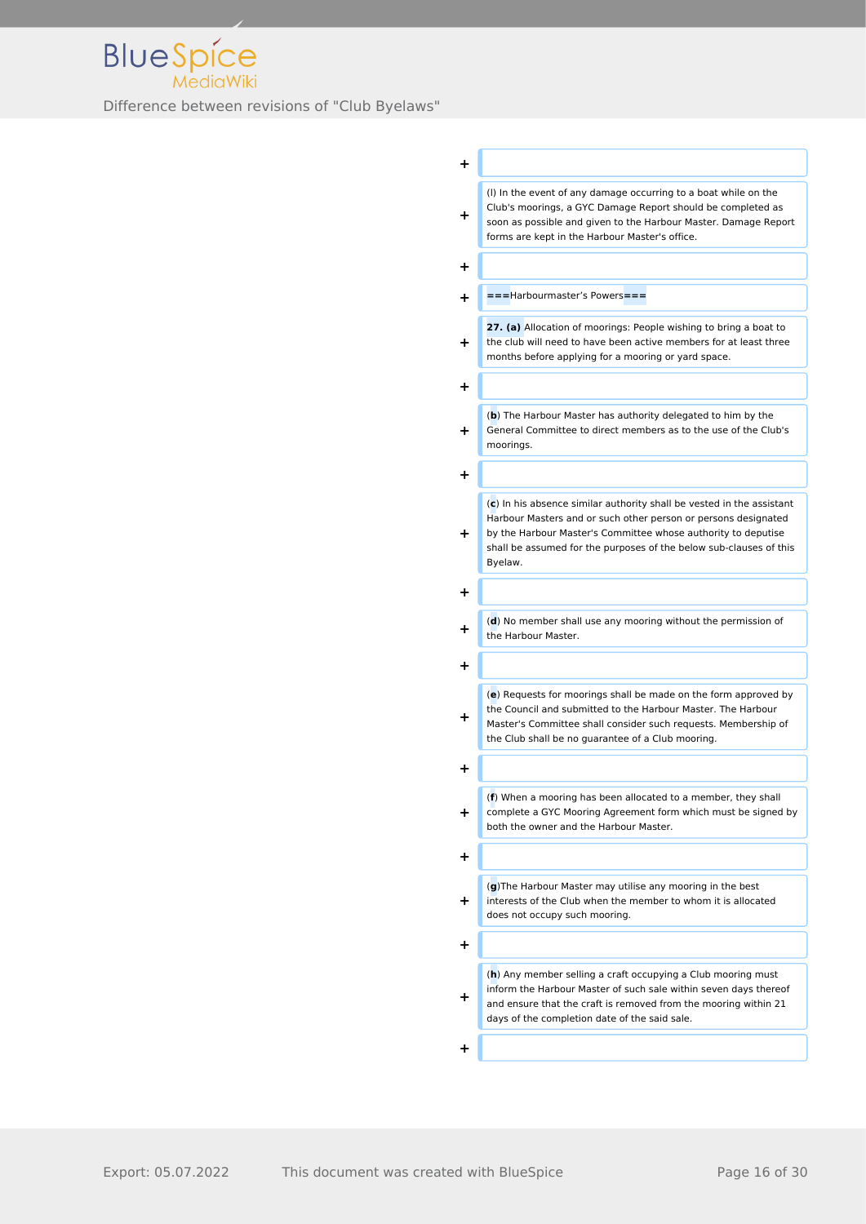

| ٠         |                                                                                                                                                                                                                                                                                             |
|-----------|---------------------------------------------------------------------------------------------------------------------------------------------------------------------------------------------------------------------------------------------------------------------------------------------|
| ÷         | (I) In the event of any damage occurring to a boat while on the<br>Club's moorings, a GYC Damage Report should be completed as<br>soon as possible and given to the Harbour Master. Damage Report<br>forms are kept in the Harbour Master's office.                                         |
| ٠         |                                                                                                                                                                                                                                                                                             |
| $\ddot{}$ | ===Harbourmaster's Powers===                                                                                                                                                                                                                                                                |
| ٠         | 27. (a) Allocation of moorings: People wishing to bring a boat to<br>the club will need to have been active members for at least three<br>months before applying for a mooring or yard space.                                                                                               |
| ٠         |                                                                                                                                                                                                                                                                                             |
| $\div$    | (b) The Harbour Master has authority delegated to him by the<br>General Committee to direct members as to the use of the Club's<br>moorings.                                                                                                                                                |
| ٠         |                                                                                                                                                                                                                                                                                             |
| $\div$    | $(c)$ In his absence similar authority shall be vested in the assistant<br>Harbour Masters and or such other person or persons designated<br>by the Harbour Master's Committee whose authority to deputise<br>shall be assumed for the purposes of the below sub-clauses of this<br>Byelaw. |
| ٠         |                                                                                                                                                                                                                                                                                             |
| ┿         | (d) No member shall use any mooring without the permission of<br>the Harbour Master.                                                                                                                                                                                                        |
| +         |                                                                                                                                                                                                                                                                                             |
| +         | (e) Requests for moorings shall be made on the form approved by<br>the Council and submitted to the Harbour Master. The Harbour<br>Master's Committee shall consider such requests. Membership of<br>the Club shall be no guarantee of a Club mooring.                                      |
| +         |                                                                                                                                                                                                                                                                                             |
| ÷.        | (f) When a mooring has been allocated to a member, they shall<br>complete a GYC Mooring Agreement form which must be signed by<br>both the owner and the Harbour Master.                                                                                                                    |
| ٠         |                                                                                                                                                                                                                                                                                             |
| +         | (g) The Harbour Master may utilise any mooring in the best<br>interests of the Club when the member to whom it is allocated<br>does not occupy such mooring.                                                                                                                                |
| ٠         |                                                                                                                                                                                                                                                                                             |
| ٠         | (h) Any member selling a craft occupying a Club mooring must<br>inform the Harbour Master of such sale within seven days thereof<br>and ensure that the craft is removed from the mooring within 21<br>days of the completion date of the said sale.                                        |
| ÷.        |                                                                                                                                                                                                                                                                                             |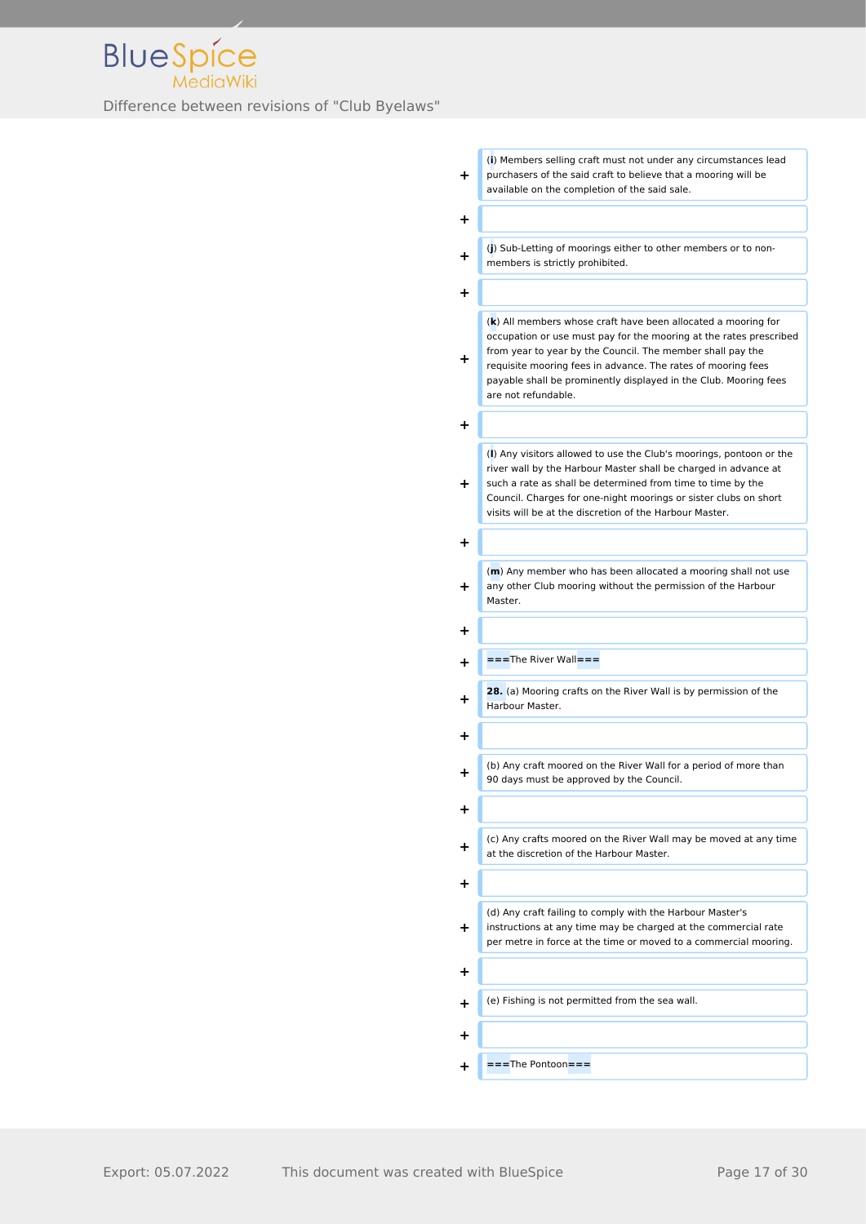

**+** (**i**) Members selling craft must not under any circumstances lead purchasers of the said craft to believe that a mooring will be available on the completion of the said sale. **+**

**+** (**j**) Sub-Letting of moorings either to other members or to nonmembers is strictly prohibited.

**+**

(**k**) All members whose craft have been allocated a mooring for occupation or use must pay for the mooring at the rates prescribed from year to year by the Council. The member shall pay the

requisite mooring fees in advance. The rates of mooring fees payable shall be prominently displayed in the Club. Mooring fees are not refundable.

**+**

**+**

**+**

**+**

**+**

(**l**) Any visitors allowed to use the Club's moorings, pontoon or the river wall by the Harbour Master shall be charged in advance at such a rate as shall be determined from time to time by the

**+** Council. Charges for one-night moorings or sister clubs on short visits will be at the discretion of the Harbour Master.

(**m**) Any member who has been allocated a mooring shall not use any other Club mooring without the permission of the Harbour Master.

**+ ===**The River Wall**===**

**+ 28.** (a) Mooring crafts on the River Wall is by permission of the Harbour Master.

**+**

**+**

**+**

**+**

**+**

**+** (b) Any craft moored on the River Wall for a period of more than 90 days must be approved by the Council.

**+** (c) Any crafts moored on the River Wall may be moved at any time at the discretion of the Harbour Master.

**+** (d) Any craft failing to comply with the Harbour Master's instructions at any time may be charged at the commercial rate per metre in force at the time or moved to a commercial mooring.

**+** (e) Fishing is not permitted from the sea wall.

- 
- **+ ===**The Pontoon**===**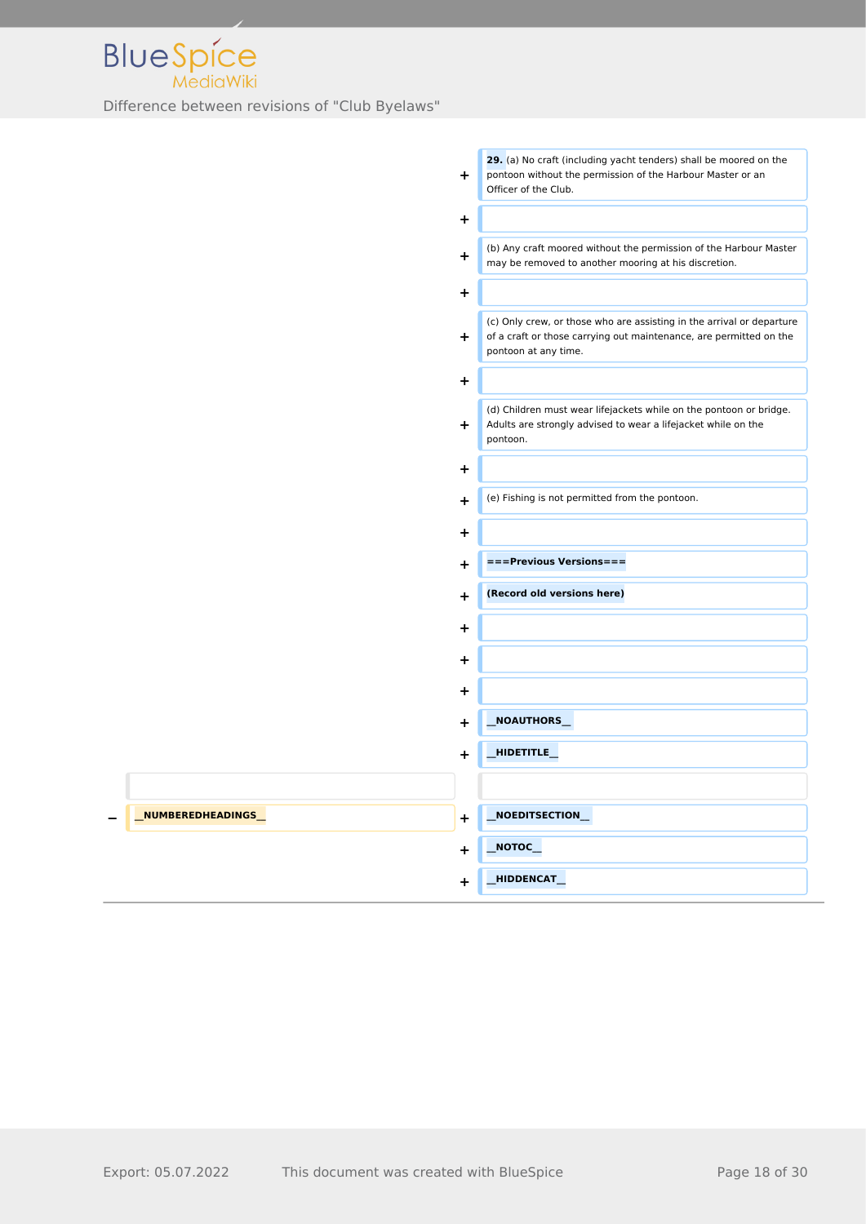

|                   | $+$       | 29. (a) No craft (including yacht tenders) shall be moored on the<br>pontoon without the permission of the Harbour Master or an<br>Officer of the Club.             |
|-------------------|-----------|---------------------------------------------------------------------------------------------------------------------------------------------------------------------|
|                   | +         |                                                                                                                                                                     |
|                   | $+$       | (b) Any craft moored without the permission of the Harbour Master<br>may be removed to another mooring at his discretion.                                           |
|                   | $\ddot{}$ |                                                                                                                                                                     |
|                   | $+$       | (c) Only crew, or those who are assisting in the arrival or departure<br>of a craft or those carrying out maintenance, are permitted on the<br>pontoon at any time. |
|                   | ÷.        |                                                                                                                                                                     |
|                   | $+$       | (d) Children must wear lifejackets while on the pontoon or bridge.<br>Adults are strongly advised to wear a lifejacket while on the<br>pontoon.                     |
|                   | ÷.        |                                                                                                                                                                     |
|                   | $\ddot{}$ | (e) Fishing is not permitted from the pontoon.                                                                                                                      |
|                   | ٠         |                                                                                                                                                                     |
|                   | ٠         | ===Previous Versions===                                                                                                                                             |
|                   | $\ddot{}$ | (Record old versions here)                                                                                                                                          |
|                   | +         |                                                                                                                                                                     |
|                   | $\ddot{}$ |                                                                                                                                                                     |
|                   | +         |                                                                                                                                                                     |
|                   | $\ddot{}$ | NOAUTHORS_                                                                                                                                                          |
|                   | $\ddot{}$ | _HIDETITLE_                                                                                                                                                         |
|                   |           |                                                                                                                                                                     |
| NUMBEREDHEADINGS_ | ٠         | NOEDITSECTION_                                                                                                                                                      |
|                   | +         | $\overline{\phantom{a}}$ NOTOC $\overline{\phantom{a}}$                                                                                                             |
|                   | +         | HIDDENCAT                                                                                                                                                           |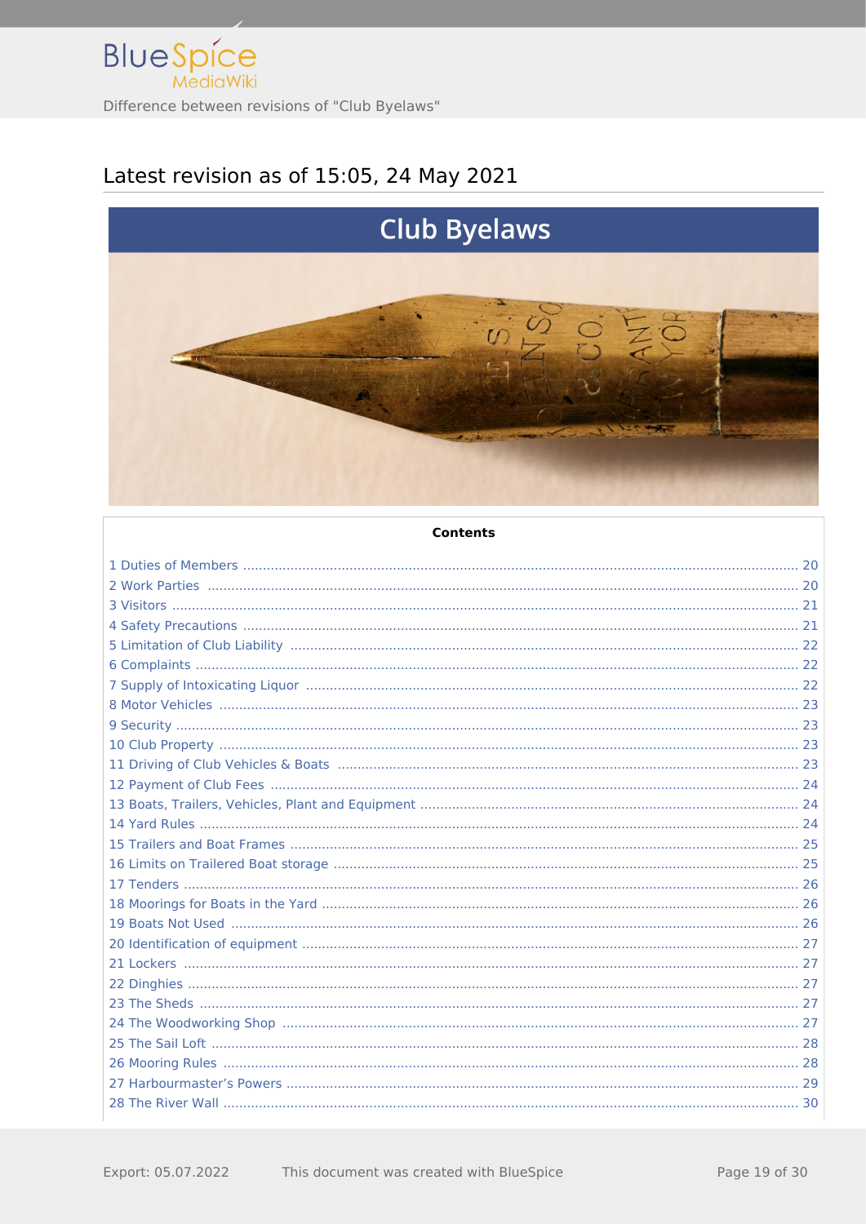

# Latest revision as of 15:05, 24 May 2021



#### **Contents**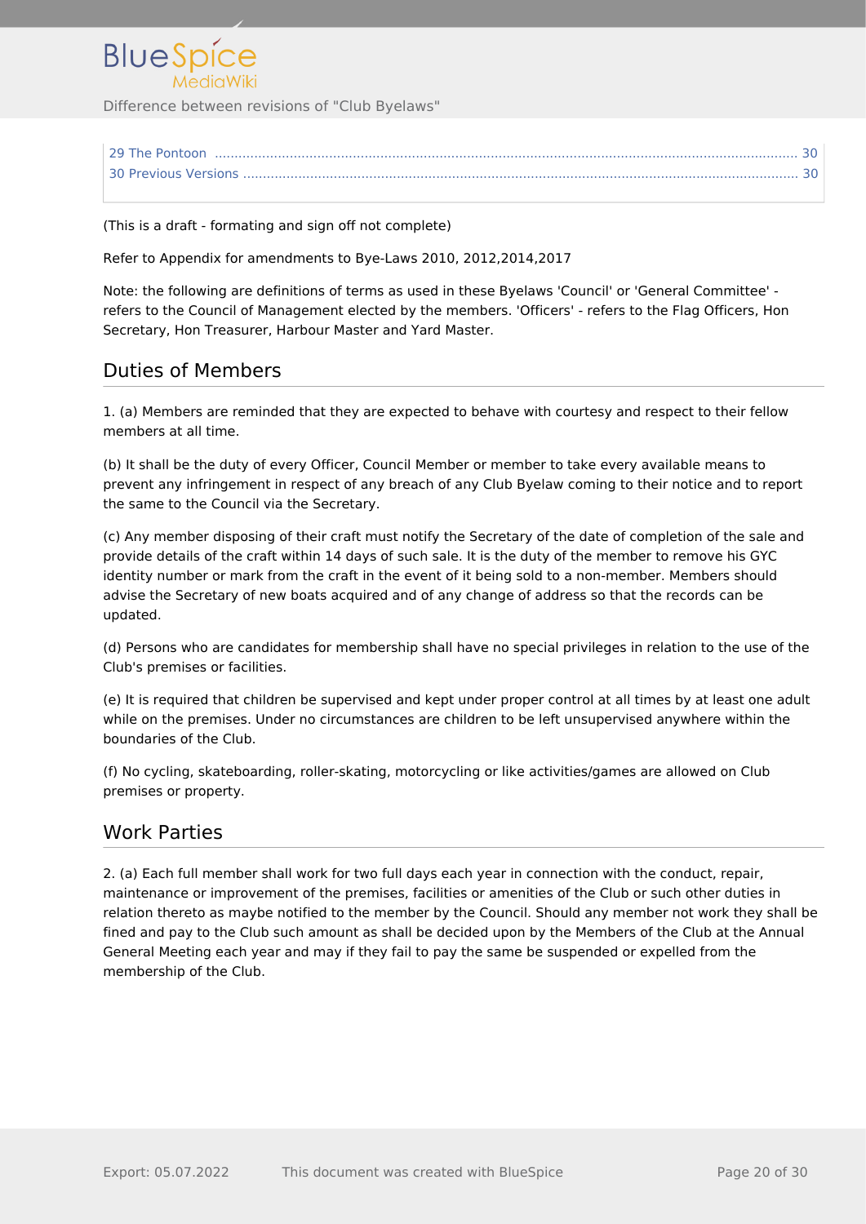

(This is a draft - formating and sign off not complete)

Refer to Appendix for amendments to Bye-Laws 2010, 2012,2014,2017

Note: the following are definitions of terms as used in these Byelaws 'Council' or 'General Committee' refers to the Council of Management elected by the members. 'Officers' - refers to the Flag Officers, Hon Secretary, Hon Treasurer, Harbour Master and Yard Master.

#### <span id="page-19-0"></span>Duties of Members

1. (a) Members are reminded that they are expected to behave with courtesy and respect to their fellow members at all time.

(b) It shall be the duty of every Officer, Council Member or member to take every available means to prevent any infringement in respect of any breach of any Club Byelaw coming to their notice and to report the same to the Council via the Secretary.

(c) Any member disposing of their craft must notify the Secretary of the date of completion of the sale and provide details of the craft within 14 days of such sale. It is the duty of the member to remove his GYC identity number or mark from the craft in the event of it being sold to a non-member. Members should advise the Secretary of new boats acquired and of any change of address so that the records can be updated.

(d) Persons who are candidates for membership shall have no special privileges in relation to the use of the Club's premises or facilities.

(e) It is required that children be supervised and kept under proper control at all times by at least one adult while on the premises. Under no circumstances are children to be left unsupervised anywhere within the boundaries of the Club.

(f) No cycling, skateboarding, roller-skating, motorcycling or like activities/games are allowed on Club premises or property.

#### <span id="page-19-1"></span>Work Parties

2. (a) Each full member shall work for two full days each year in connection with the conduct, repair, maintenance or improvement of the premises, facilities or amenities of the Club or such other duties in relation thereto as maybe notified to the member by the Council. Should any member not work they shall be fined and pay to the Club such amount as shall be decided upon by the Members of the Club at the Annual General Meeting each year and may if they fail to pay the same be suspended or expelled from the membership of the Club.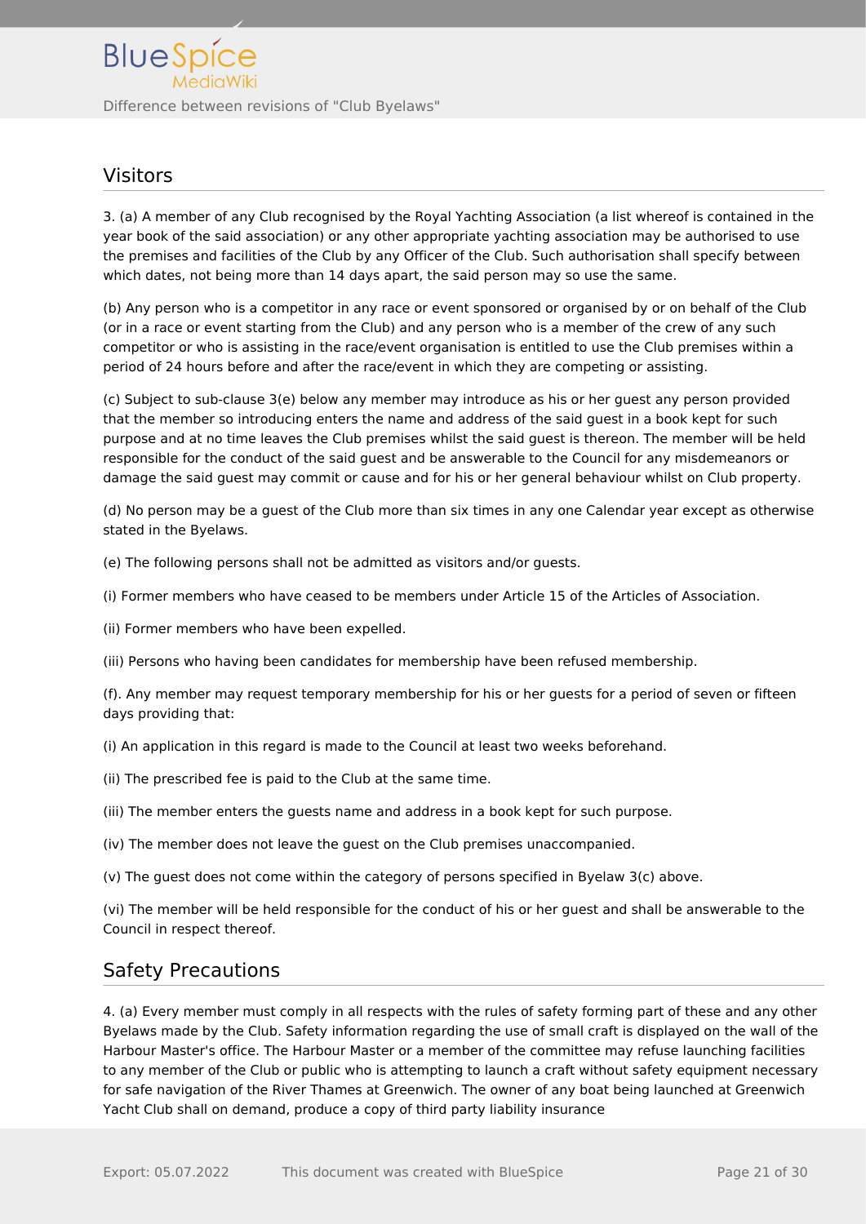### <span id="page-20-0"></span>Visitors

3. (a) A member of any Club recognised by the Royal Yachting Association (a list whereof is contained in the year book of the said association) or any other appropriate yachting association may be authorised to use the premises and facilities of the Club by any Officer of the Club. Such authorisation shall specify between which dates, not being more than 14 days apart, the said person may so use the same.

(b) Any person who is a competitor in any race or event sponsored or organised by or on behalf of the Club (or in a race or event starting from the Club) and any person who is a member of the crew of any such competitor or who is assisting in the race/event organisation is entitled to use the Club premises within a period of 24 hours before and after the race/event in which they are competing or assisting.

(c) Subject to sub-clause 3(e) below any member may introduce as his or her guest any person provided that the member so introducing enters the name and address of the said guest in a book kept for such purpose and at no time leaves the Club premises whilst the said guest is thereon. The member will be held responsible for the conduct of the said guest and be answerable to the Council for any misdemeanors or damage the said guest may commit or cause and for his or her general behaviour whilst on Club property.

(d) No person may be a guest of the Club more than six times in any one Calendar year except as otherwise stated in the Byelaws.

(e) The following persons shall not be admitted as visitors and/or guests.

(i) Former members who have ceased to be members under Article 15 of the Articles of Association.

(ii) Former members who have been expelled.

(iii) Persons who having been candidates for membership have been refused membership.

(f). Any member may request temporary membership for his or her guests for a period of seven or fifteen days providing that:

(i) An application in this regard is made to the Council at least two weeks beforehand.

- (ii) The prescribed fee is paid to the Club at the same time.
- (iii) The member enters the guests name and address in a book kept for such purpose.
- (iv) The member does not leave the guest on the Club premises unaccompanied.

(v) The guest does not come within the category of persons specified in Byelaw 3(c) above.

(vi) The member will be held responsible for the conduct of his or her guest and shall be answerable to the Council in respect thereof.

#### <span id="page-20-1"></span>Safety Precautions

4. (a) Every member must comply in all respects with the rules of safety forming part of these and any other Byelaws made by the Club. Safety information regarding the use of small craft is displayed on the wall of the Harbour Master's office. The Harbour Master or a member of the committee may refuse launching facilities to any member of the Club or public who is attempting to launch a craft without safety equipment necessary for safe navigation of the River Thames at Greenwich. The owner of any boat being launched at Greenwich Yacht Club shall on demand, produce a copy of third party liability insurance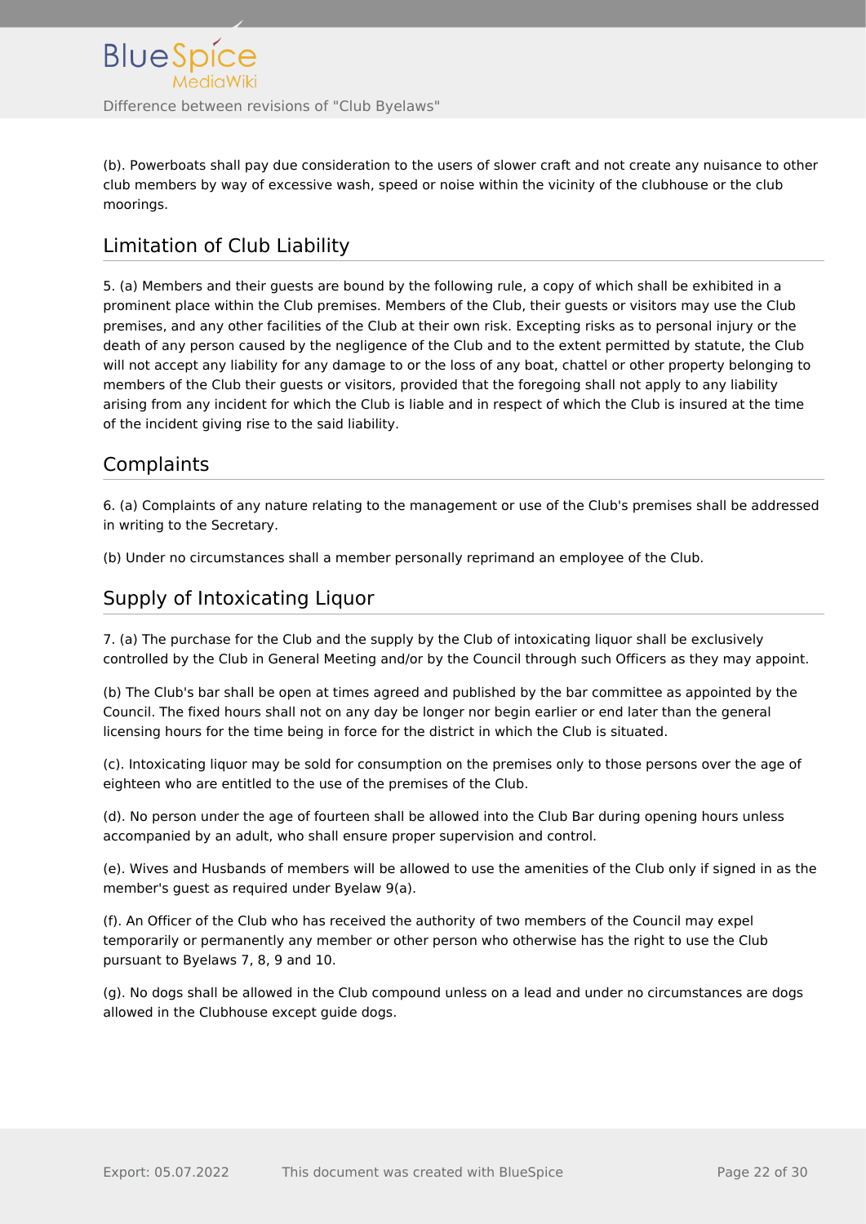(b). Powerboats shall pay due consideration to the users of slower craft and not create any nuisance to other club members by way of excessive wash, speed or noise within the vicinity of the clubhouse or the club moorings.

# <span id="page-21-0"></span>Limitation of Club Liability

5. (a) Members and their guests are bound by the following rule, a copy of which shall be exhibited in a prominent place within the Club premises. Members of the Club, their guests or visitors may use the Club premises, and any other facilities of the Club at their own risk. Excepting risks as to personal injury or the death of any person caused by the negligence of the Club and to the extent permitted by statute, the Club will not accept any liability for any damage to or the loss of any boat, chattel or other property belonging to members of the Club their guests or visitors, provided that the foregoing shall not apply to any liability arising from any incident for which the Club is liable and in respect of which the Club is insured at the time of the incident giving rise to the said liability.

## <span id="page-21-1"></span>**Complaints**

6. (a) Complaints of any nature relating to the management or use of the Club's premises shall be addressed in writing to the Secretary.

(b) Under no circumstances shall a member personally reprimand an employee of the Club.

## <span id="page-21-2"></span>Supply of Intoxicating Liquor

7. (a) The purchase for the Club and the supply by the Club of intoxicating liquor shall be exclusively controlled by the Club in General Meeting and/or by the Council through such Officers as they may appoint.

(b) The Club's bar shall be open at times agreed and published by the bar committee as appointed by the Council. The fixed hours shall not on any day be longer nor begin earlier or end later than the general licensing hours for the time being in force for the district in which the Club is situated.

(c). Intoxicating liquor may be sold for consumption on the premises only to those persons over the age of eighteen who are entitled to the use of the premises of the Club.

(d). No person under the age of fourteen shall be allowed into the Club Bar during opening hours unless accompanied by an adult, who shall ensure proper supervision and control.

(e). Wives and Husbands of members will be allowed to use the amenities of the Club only if signed in as the member's guest as required under Byelaw 9(a).

(f). An Officer of the Club who has received the authority of two members of the Council may expel temporarily or permanently any member or other person who otherwise has the right to use the Club pursuant to Byelaws 7, 8, 9 and 10.

(g). No dogs shall be allowed in the Club compound unless on a lead and under no circumstances are dogs allowed in the Clubhouse except guide dogs.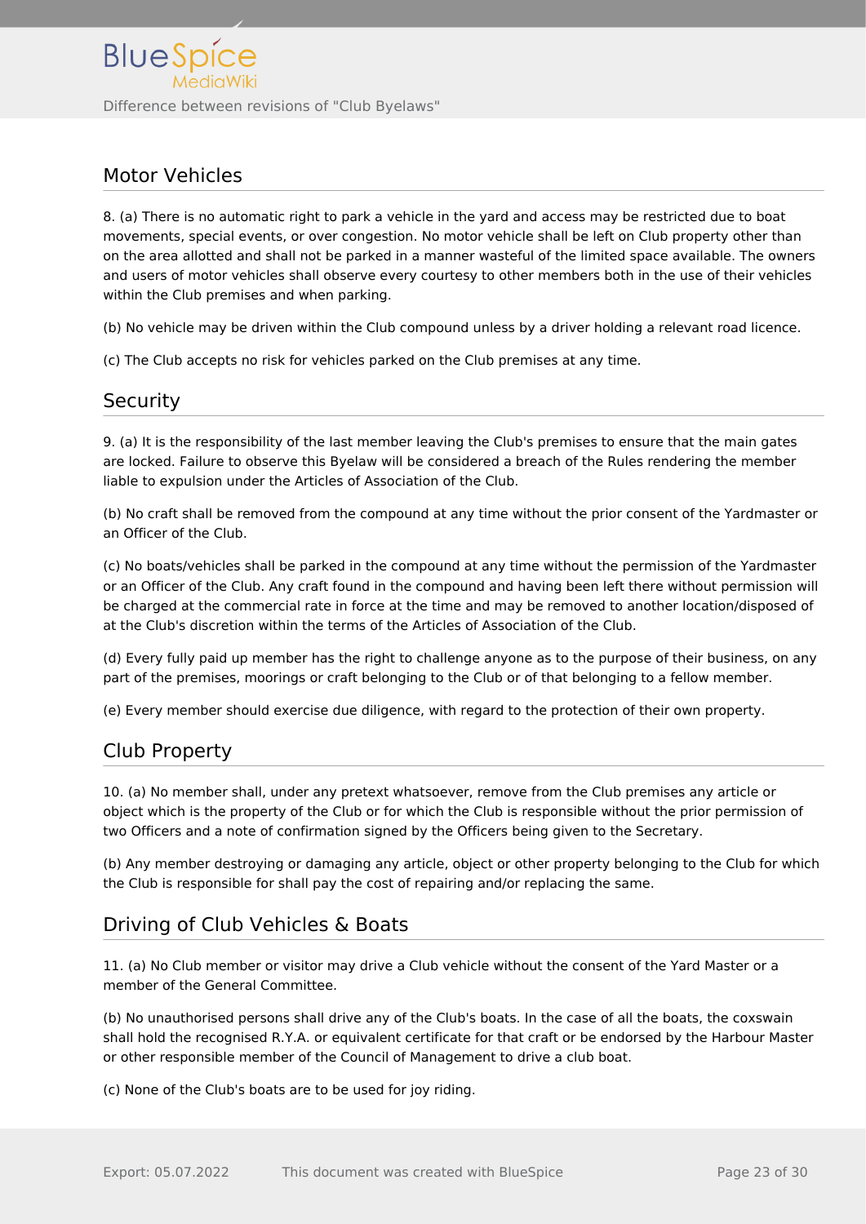## <span id="page-22-0"></span>Motor Vehicles

8. (a) There is no automatic right to park a vehicle in the yard and access may be restricted due to boat movements, special events, or over congestion. No motor vehicle shall be left on Club property other than on the area allotted and shall not be parked in a manner wasteful of the limited space available. The owners and users of motor vehicles shall observe every courtesy to other members both in the use of their vehicles within the Club premises and when parking.

(b) No vehicle may be driven within the Club compound unless by a driver holding a relevant road licence.

(c) The Club accepts no risk for vehicles parked on the Club premises at any time.

## <span id="page-22-1"></span>**Security**

9. (a) It is the responsibility of the last member leaving the Club's premises to ensure that the main gates are locked. Failure to observe this Byelaw will be considered a breach of the Rules rendering the member liable to expulsion under the Articles of Association of the Club.

(b) No craft shall be removed from the compound at any time without the prior consent of the Yardmaster or an Officer of the Club.

(c) No boats/vehicles shall be parked in the compound at any time without the permission of the Yardmaster or an Officer of the Club. Any craft found in the compound and having been left there without permission will be charged at the commercial rate in force at the time and may be removed to another location/disposed of at the Club's discretion within the terms of the Articles of Association of the Club.

(d) Every fully paid up member has the right to challenge anyone as to the purpose of their business, on any part of the premises, moorings or craft belonging to the Club or of that belonging to a fellow member.

(e) Every member should exercise due diligence, with regard to the protection of their own property.

## <span id="page-22-2"></span>Club Property

10. (a) No member shall, under any pretext whatsoever, remove from the Club premises any article or object which is the property of the Club or for which the Club is responsible without the prior permission of two Officers and a note of confirmation signed by the Officers being given to the Secretary.

(b) Any member destroying or damaging any article, object or other property belonging to the Club for which the Club is responsible for shall pay the cost of repairing and/or replacing the same.

## <span id="page-22-3"></span>Driving of Club Vehicles & Boats

11. (a) No Club member or visitor may drive a Club vehicle without the consent of the Yard Master or a member of the General Committee.

(b) No unauthorised persons shall drive any of the Club's boats. In the case of all the boats, the coxswain shall hold the recognised R.Y.A. or equivalent certificate for that craft or be endorsed by the Harbour Master or other responsible member of the Council of Management to drive a club boat.

(c) None of the Club's boats are to be used for joy riding.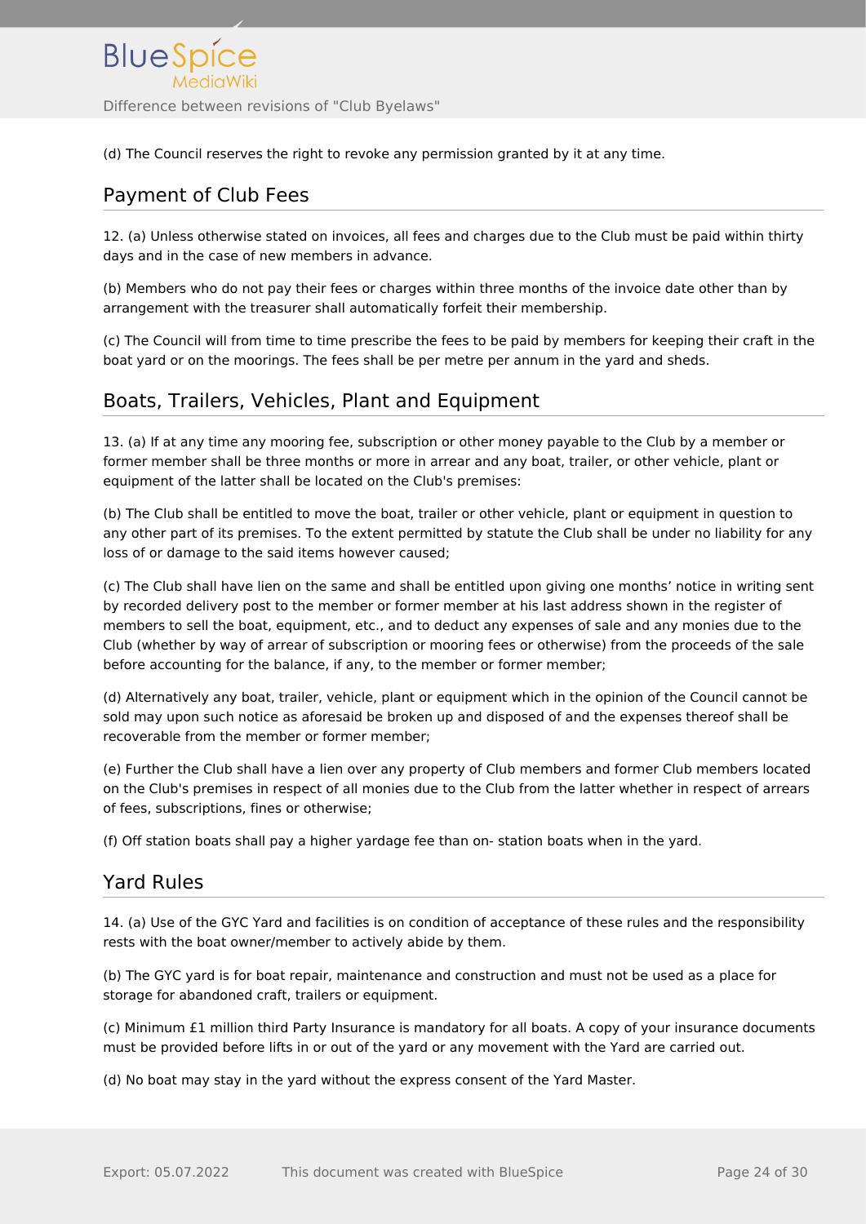

(d) The Council reserves the right to revoke any permission granted by it at any time.

## <span id="page-23-0"></span>Payment of Club Fees

12. (a) Unless otherwise stated on invoices, all fees and charges due to the Club must be paid within thirty days and in the case of new members in advance.

(b) Members who do not pay their fees or charges within three months of the invoice date other than by arrangement with the treasurer shall automatically forfeit their membership.

(c) The Council will from time to time prescribe the fees to be paid by members for keeping their craft in the boat yard or on the moorings. The fees shall be per metre per annum in the yard and sheds.

## <span id="page-23-1"></span>Boats, Trailers, Vehicles, Plant and Equipment

13. (a) If at any time any mooring fee, subscription or other money payable to the Club by a member or former member shall be three months or more in arrear and any boat, trailer, or other vehicle, plant or equipment of the latter shall be located on the Club's premises:

(b) The Club shall be entitled to move the boat, trailer or other vehicle, plant or equipment in question to any other part of its premises. To the extent permitted by statute the Club shall be under no liability for any loss of or damage to the said items however caused;

(c) The Club shall have lien on the same and shall be entitled upon giving one months' notice in writing sent by recorded delivery post to the member or former member at his last address shown in the register of members to sell the boat, equipment, etc., and to deduct any expenses of sale and any monies due to the Club (whether by way of arrear of subscription or mooring fees or otherwise) from the proceeds of the sale before accounting for the balance, if any, to the member or former member;

(d) Alternatively any boat, trailer, vehicle, plant or equipment which in the opinion of the Council cannot be sold may upon such notice as aforesaid be broken up and disposed of and the expenses thereof shall be recoverable from the member or former member;

(e) Further the Club shall have a lien over any property of Club members and former Club members located on the Club's premises in respect of all monies due to the Club from the latter whether in respect of arrears of fees, subscriptions, fines or otherwise;

(f) Off station boats shall pay a higher yardage fee than on- station boats when in the yard.

## <span id="page-23-2"></span>Yard Rules

14. (a) Use of the GYC Yard and facilities is on condition of acceptance of these rules and the responsibility rests with the boat owner/member to actively abide by them.

(b) The GYC yard is for boat repair, maintenance and construction and must not be used as a place for storage for abandoned craft, trailers or equipment.

(c) Minimum £1 million third Party Insurance is mandatory for all boats. A copy of your insurance documents must be provided before lifts in or out of the yard or any movement with the Yard are carried out.

(d) No boat may stay in the yard without the express consent of the Yard Master.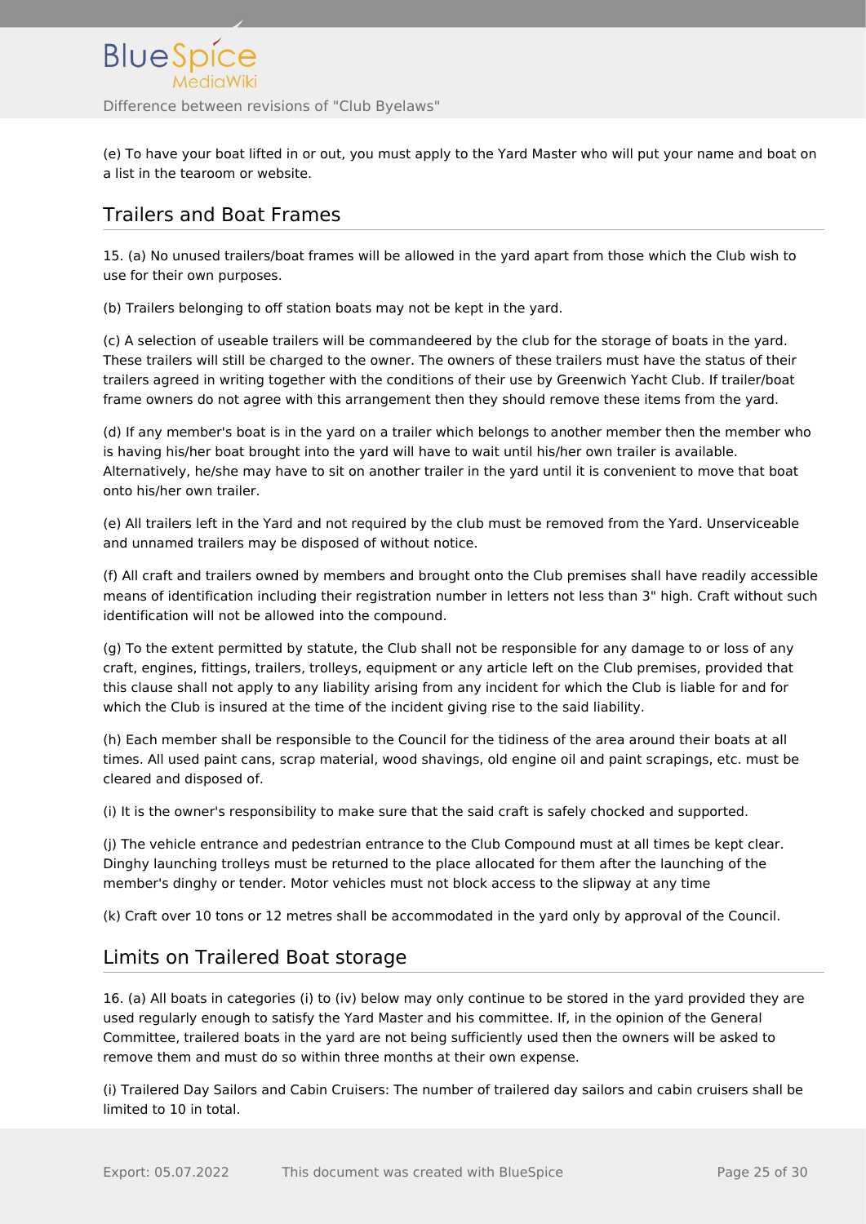(e) To have your boat lifted in or out, you must apply to the Yard Master who will put your name and boat on a list in the tearoom or website.

# <span id="page-24-0"></span>Trailers and Boat Frames

15. (a) No unused trailers/boat frames will be allowed in the yard apart from those which the Club wish to use for their own purposes.

(b) Trailers belonging to off station boats may not be kept in the yard.

(c) A selection of useable trailers will be commandeered by the club for the storage of boats in the yard. These trailers will still be charged to the owner. The owners of these trailers must have the status of their trailers agreed in writing together with the conditions of their use by Greenwich Yacht Club. If trailer/boat frame owners do not agree with this arrangement then they should remove these items from the yard.

(d) If any member's boat is in the yard on a trailer which belongs to another member then the member who is having his/her boat brought into the yard will have to wait until his/her own trailer is available. Alternatively, he/she may have to sit on another trailer in the yard until it is convenient to move that boat onto his/her own trailer.

(e) All trailers left in the Yard and not required by the club must be removed from the Yard. Unserviceable and unnamed trailers may be disposed of without notice.

(f) All craft and trailers owned by members and brought onto the Club premises shall have readily accessible means of identification including their registration number in letters not less than 3" high. Craft without such identification will not be allowed into the compound.

(g) To the extent permitted by statute, the Club shall not be responsible for any damage to or loss of any craft, engines, fittings, trailers, trolleys, equipment or any article left on the Club premises, provided that this clause shall not apply to any liability arising from any incident for which the Club is liable for and for which the Club is insured at the time of the incident giving rise to the said liability.

(h) Each member shall be responsible to the Council for the tidiness of the area around their boats at all times. All used paint cans, scrap material, wood shavings, old engine oil and paint scrapings, etc. must be cleared and disposed of.

(i) It is the owner's responsibility to make sure that the said craft is safely chocked and supported.

(j) The vehicle entrance and pedestrian entrance to the Club Compound must at all times be kept clear. Dinghy launching trolleys must be returned to the place allocated for them after the launching of the member's dinghy or tender. Motor vehicles must not block access to the slipway at any time

(k) Craft over 10 tons or 12 metres shall be accommodated in the yard only by approval of the Council.

# <span id="page-24-1"></span>Limits on Trailered Boat storage

16. (a) All boats in categories (i) to (iv) below may only continue to be stored in the yard provided they are used regularly enough to satisfy the Yard Master and his committee. If, in the opinion of the General Committee, trailered boats in the yard are not being sufficiently used then the owners will be asked to remove them and must do so within three months at their own expense.

(i) Trailered Day Sailors and Cabin Cruisers: The number of trailered day sailors and cabin cruisers shall be limited to 10 in total.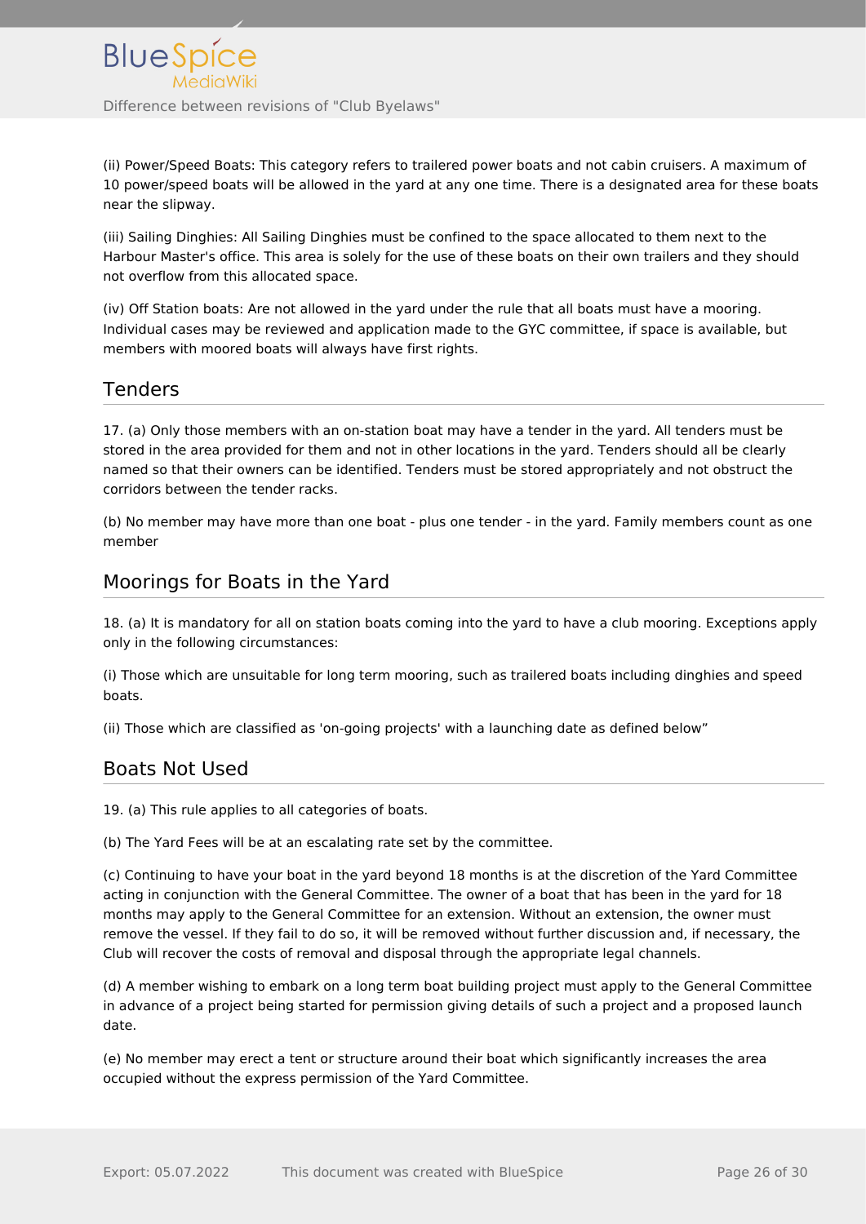(ii) Power/Speed Boats: This category refers to trailered power boats and not cabin cruisers. A maximum of 10 power/speed boats will be allowed in the yard at any one time. There is a designated area for these boats near the slipway.

(iii) Sailing Dinghies: All Sailing Dinghies must be confined to the space allocated to them next to the Harbour Master's office. This area is solely for the use of these boats on their own trailers and they should not overflow from this allocated space.

(iv) Off Station boats: Are not allowed in the yard under the rule that all boats must have a mooring. Individual cases may be reviewed and application made to the GYC committee, if space is available, but members with moored boats will always have first rights.

### <span id="page-25-0"></span>Tenders

17. (a) Only those members with an on-station boat may have a tender in the yard. All tenders must be stored in the area provided for them and not in other locations in the yard. Tenders should all be clearly named so that their owners can be identified. Tenders must be stored appropriately and not obstruct the corridors between the tender racks.

(b) No member may have more than one boat - plus one tender - in the yard. Family members count as one member

#### <span id="page-25-1"></span>Moorings for Boats in the Yard

18. (a) It is mandatory for all on station boats coming into the yard to have a club mooring. Exceptions apply only in the following circumstances:

(i) Those which are unsuitable for long term mooring, such as trailered boats including dinghies and speed boats.

(ii) Those which are classified as 'on-going projects' with a launching date as defined below"

#### <span id="page-25-2"></span>Boats Not Used

19. (a) This rule applies to all categories of boats.

(b) The Yard Fees will be at an escalating rate set by the committee.

(c) Continuing to have your boat in the yard beyond 18 months is at the discretion of the Yard Committee acting in conjunction with the General Committee. The owner of a boat that has been in the yard for 18 months may apply to the General Committee for an extension. Without an extension, the owner must remove the vessel. If they fail to do so, it will be removed without further discussion and, if necessary, the Club will recover the costs of removal and disposal through the appropriate legal channels.

(d) A member wishing to embark on a long term boat building project must apply to the General Committee in advance of a project being started for permission giving details of such a project and a proposed launch date.

(e) No member may erect a tent or structure around their boat which significantly increases the area occupied without the express permission of the Yard Committee.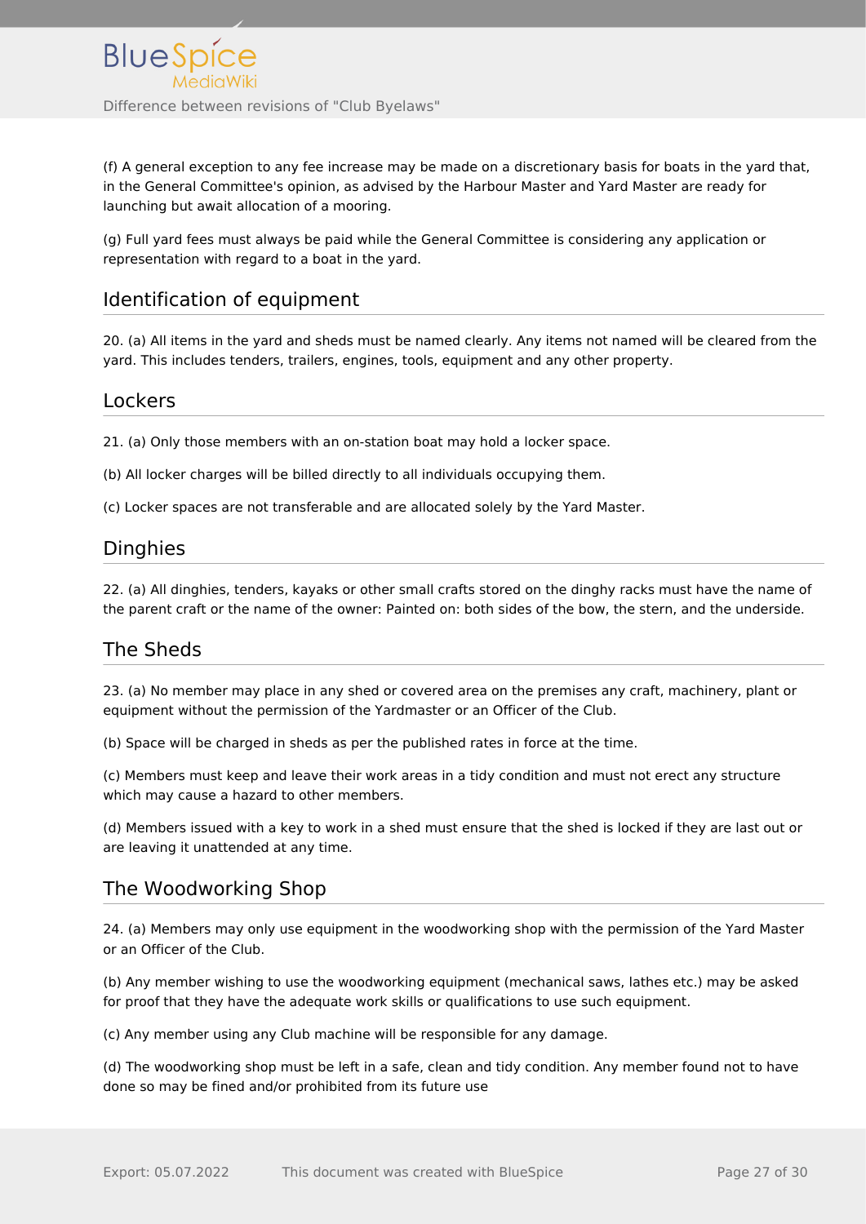(f) A general exception to any fee increase may be made on a discretionary basis for boats in the yard that, in the General Committee's opinion, as advised by the Harbour Master and Yard Master are ready for launching but await allocation of a mooring.

(g) Full yard fees must always be paid while the General Committee is considering any application or representation with regard to a boat in the yard.

## <span id="page-26-0"></span>Identification of equipment

20. (a) All items in the yard and sheds must be named clearly. Any items not named will be cleared from the yard. This includes tenders, trailers, engines, tools, equipment and any other property.

#### <span id="page-26-1"></span>Lockers

21. (a) Only those members with an on-station boat may hold a locker space.

(b) All locker charges will be billed directly to all individuals occupying them.

(c) Locker spaces are not transferable and are allocated solely by the Yard Master.

### <span id="page-26-2"></span>**Dinghies**

22. (a) All dinghies, tenders, kayaks or other small crafts stored on the dinghy racks must have the name of the parent craft or the name of the owner: Painted on: both sides of the bow, the stern, and the underside.

## <span id="page-26-3"></span>The Sheds

23. (a) No member may place in any shed or covered area on the premises any craft, machinery, plant or equipment without the permission of the Yardmaster or an Officer of the Club.

(b) Space will be charged in sheds as per the published rates in force at the time.

(c) Members must keep and leave their work areas in a tidy condition and must not erect any structure which may cause a hazard to other members.

(d) Members issued with a key to work in a shed must ensure that the shed is locked if they are last out or are leaving it unattended at any time.

#### <span id="page-26-4"></span>The Woodworking Shop

24. (a) Members may only use equipment in the woodworking shop with the permission of the Yard Master or an Officer of the Club.

(b) Any member wishing to use the woodworking equipment (mechanical saws, lathes etc.) may be asked for proof that they have the adequate work skills or qualifications to use such equipment.

(c) Any member using any Club machine will be responsible for any damage.

(d) The woodworking shop must be left in a safe, clean and tidy condition. Any member found not to have done so may be fined and/or prohibited from its future use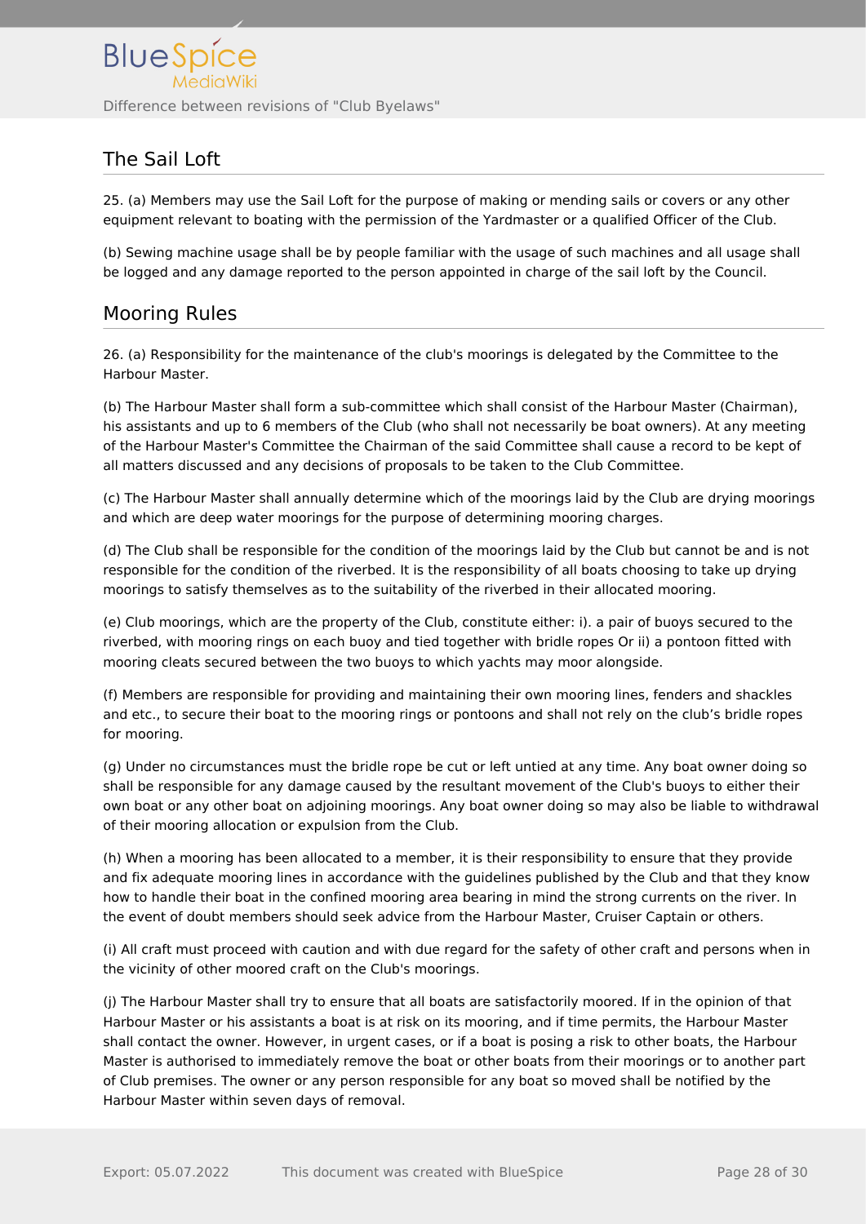## <span id="page-27-0"></span>The Sail Loft

25. (a) Members may use the Sail Loft for the purpose of making or mending sails or covers or any other equipment relevant to boating with the permission of the Yardmaster or a qualified Officer of the Club.

(b) Sewing machine usage shall be by people familiar with the usage of such machines and all usage shall be logged and any damage reported to the person appointed in charge of the sail loft by the Council.

### <span id="page-27-1"></span>Mooring Rules

26. (a) Responsibility for the maintenance of the club's moorings is delegated by the Committee to the Harbour Master.

(b) The Harbour Master shall form a sub-committee which shall consist of the Harbour Master (Chairman), his assistants and up to 6 members of the Club (who shall not necessarily be boat owners). At any meeting of the Harbour Master's Committee the Chairman of the said Committee shall cause a record to be kept of all matters discussed and any decisions of proposals to be taken to the Club Committee.

(c) The Harbour Master shall annually determine which of the moorings laid by the Club are drying moorings and which are deep water moorings for the purpose of determining mooring charges.

(d) The Club shall be responsible for the condition of the moorings laid by the Club but cannot be and is not responsible for the condition of the riverbed. It is the responsibility of all boats choosing to take up drying moorings to satisfy themselves as to the suitability of the riverbed in their allocated mooring.

(e) Club moorings, which are the property of the Club, constitute either: i). a pair of buoys secured to the riverbed, with mooring rings on each buoy and tied together with bridle ropes Or ii) a pontoon fitted with mooring cleats secured between the two buoys to which yachts may moor alongside.

(f) Members are responsible for providing and maintaining their own mooring lines, fenders and shackles and etc., to secure their boat to the mooring rings or pontoons and shall not rely on the club's bridle ropes for mooring.

(g) Under no circumstances must the bridle rope be cut or left untied at any time. Any boat owner doing so shall be responsible for any damage caused by the resultant movement of the Club's buoys to either their own boat or any other boat on adjoining moorings. Any boat owner doing so may also be liable to withdrawal of their mooring allocation or expulsion from the Club.

(h) When a mooring has been allocated to a member, it is their responsibility to ensure that they provide and fix adequate mooring lines in accordance with the guidelines published by the Club and that they know how to handle their boat in the confined mooring area bearing in mind the strong currents on the river. In the event of doubt members should seek advice from the Harbour Master, Cruiser Captain or others.

(i) All craft must proceed with caution and with due regard for the safety of other craft and persons when in the vicinity of other moored craft on the Club's moorings.

(j) The Harbour Master shall try to ensure that all boats are satisfactorily moored. If in the opinion of that Harbour Master or his assistants a boat is at risk on its mooring, and if time permits, the Harbour Master shall contact the owner. However, in urgent cases, or if a boat is posing a risk to other boats, the Harbour Master is authorised to immediately remove the boat or other boats from their moorings or to another part of Club premises. The owner or any person responsible for any boat so moved shall be notified by the Harbour Master within seven days of removal.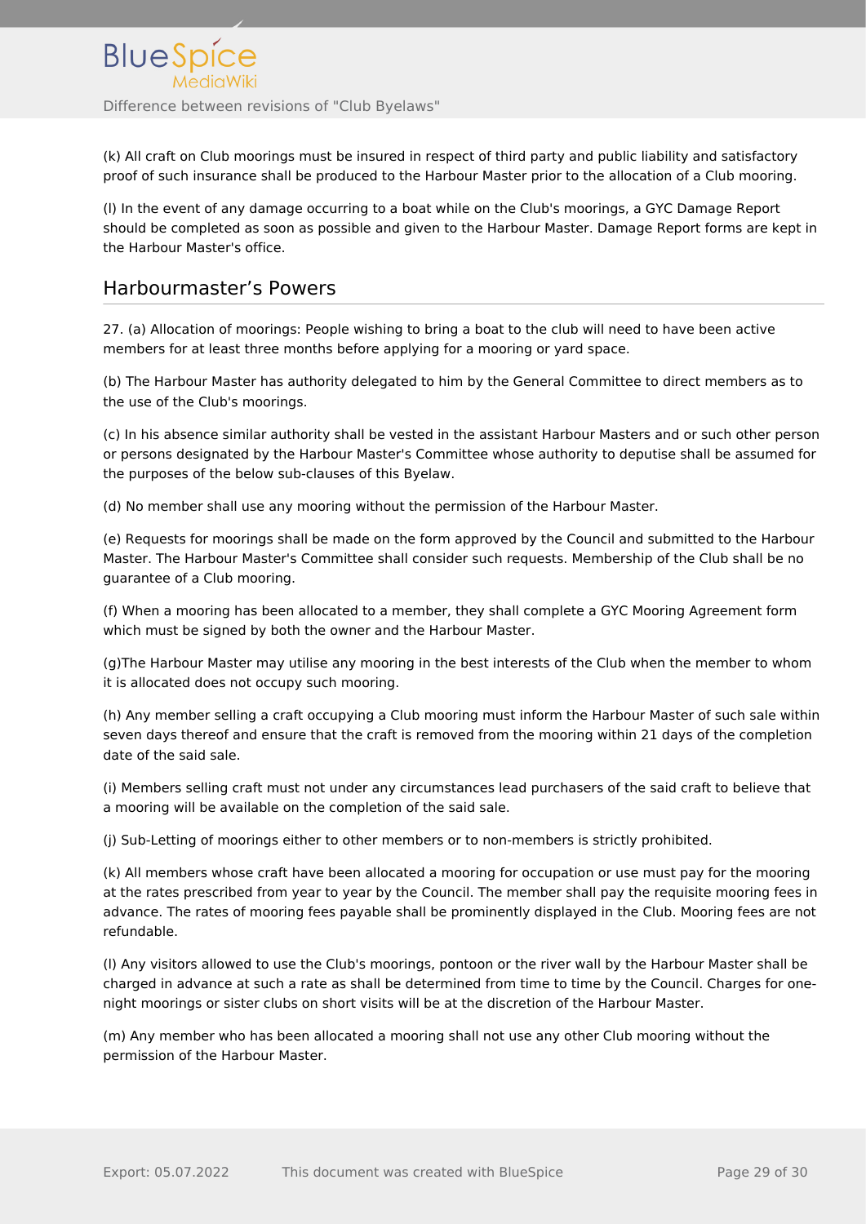(k) All craft on Club moorings must be insured in respect of third party and public liability and satisfactory proof of such insurance shall be produced to the Harbour Master prior to the allocation of a Club mooring.

(l) In the event of any damage occurring to a boat while on the Club's moorings, a GYC Damage Report should be completed as soon as possible and given to the Harbour Master. Damage Report forms are kept in the Harbour Master's office.

#### <span id="page-28-0"></span>Harbourmaster's Powers

27. (a) Allocation of moorings: People wishing to bring a boat to the club will need to have been active members for at least three months before applying for a mooring or yard space.

(b) The Harbour Master has authority delegated to him by the General Committee to direct members as to the use of the Club's moorings.

(c) In his absence similar authority shall be vested in the assistant Harbour Masters and or such other person or persons designated by the Harbour Master's Committee whose authority to deputise shall be assumed for the purposes of the below sub-clauses of this Byelaw.

(d) No member shall use any mooring without the permission of the Harbour Master.

(e) Requests for moorings shall be made on the form approved by the Council and submitted to the Harbour Master. The Harbour Master's Committee shall consider such requests. Membership of the Club shall be no guarantee of a Club mooring.

(f) When a mooring has been allocated to a member, they shall complete a GYC Mooring Agreement form which must be signed by both the owner and the Harbour Master.

(g)The Harbour Master may utilise any mooring in the best interests of the Club when the member to whom it is allocated does not occupy such mooring.

(h) Any member selling a craft occupying a Club mooring must inform the Harbour Master of such sale within seven days thereof and ensure that the craft is removed from the mooring within 21 days of the completion date of the said sale.

(i) Members selling craft must not under any circumstances lead purchasers of the said craft to believe that a mooring will be available on the completion of the said sale.

(j) Sub-Letting of moorings either to other members or to non-members is strictly prohibited.

(k) All members whose craft have been allocated a mooring for occupation or use must pay for the mooring at the rates prescribed from year to year by the Council. The member shall pay the requisite mooring fees in advance. The rates of mooring fees payable shall be prominently displayed in the Club. Mooring fees are not refundable.

(l) Any visitors allowed to use the Club's moorings, pontoon or the river wall by the Harbour Master shall be charged in advance at such a rate as shall be determined from time to time by the Council. Charges for onenight moorings or sister clubs on short visits will be at the discretion of the Harbour Master.

(m) Any member who has been allocated a mooring shall not use any other Club mooring without the permission of the Harbour Master.